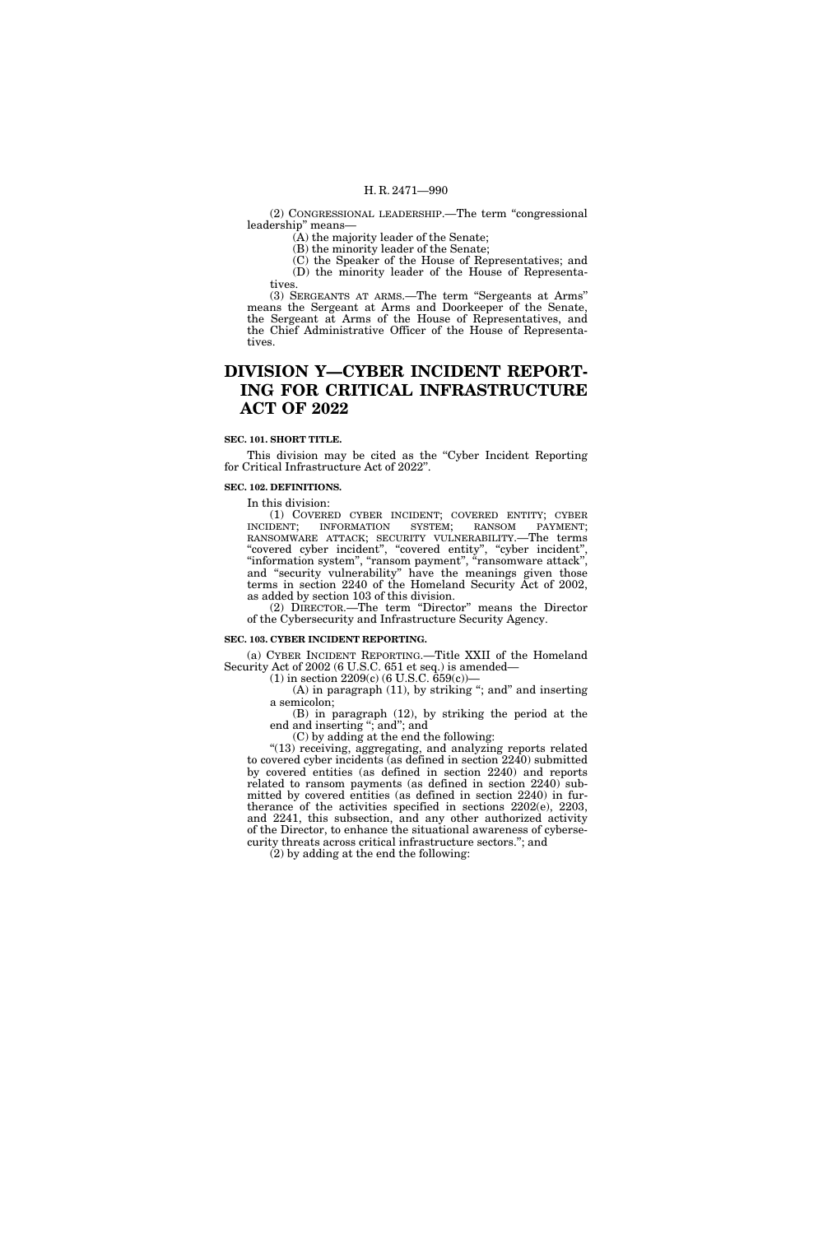(2) CONGRESSIONAL LEADERSHIP.—The term ''congressional leadership'' means—

(A) the majority leader of the Senate;

(B) the minority leader of the Senate;

(C) the Speaker of the House of Representatives; and (D) the minority leader of the House of Representatives.

(3) SERGEANTS AT ARMS.—The term ''Sergeants at Arms'' means the Sergeant at Arms and Doorkeeper of the Senate, the Sergeant at Arms of the House of Representatives, and the Chief Administrative Officer of the House of Representatives.

# **DIVISION Y—CYBER INCIDENT REPORT-ING FOR CRITICAL INFRASTRUCTURE ACT OF 2022**

### **SEC. 101. SHORT TITLE.**

This division may be cited as the "Cyber Incident Reporting" for Critical Infrastructure Act of 2022''.

# **SEC. 102. DEFINITIONS.**

In this division:

(1) COVERED CYBER INCIDENT; COVERED ENTITY; CYBER INCIDENT; INFORMATION SYSTEM; RANSOM PAYMENT; RANSOMWARE ATTACK; SECURITY VULNERABILITY.—The terms "covered cyber incident", "covered entity", "cyber incident", ''information system'', ''ransom payment'', ''ransomware attack'', and ''security vulnerability'' have the meanings given those terms in section 2240 of the Homeland Security Act of 2002, as added by section 103 of this division.

(2) DIRECTOR.—The term ''Director'' means the Director of the Cybersecurity and Infrastructure Security Agency.

## **SEC. 103. CYBER INCIDENT REPORTING.**

(a) CYBER INCIDENT REPORTING.—Title XXII of the Homeland Security Act of 2002 (6 U.S.C. 651 et seq.) is amended—

(1) in section  $2209(c)$  (6 U.S.C.  $659(c)$ )–

 $(A)$  in paragraph  $(11)$ , by striking "; and" and inserting a semicolon; (B) in paragraph (12), by striking the period at the

end and inserting ''; and''; and

(C) by adding at the end the following:

''(13) receiving, aggregating, and analyzing reports related to covered cyber incidents (as defined in section 2240) submitted by covered entities (as defined in section 2240) and reports related to ransom payments (as defined in section 2240) submitted by covered entities (as defined in section 2240) in furtherance of the activities specified in sections 2202(e), 2203, and 2241, this subsection, and any other authorized activity of the Director, to enhance the situational awareness of cybersecurity threats across critical infrastructure sectors.''; and

(2) by adding at the end the following: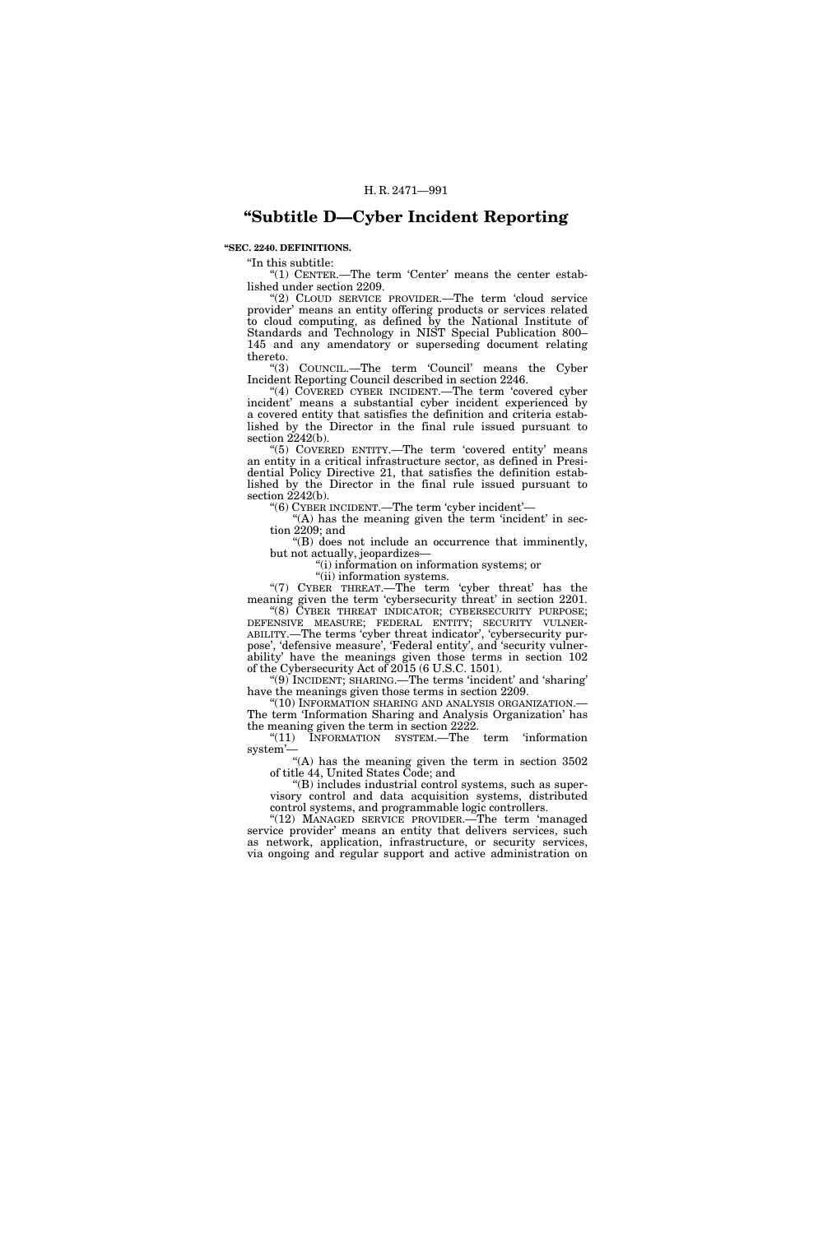# **''Subtitle D—Cyber Incident Reporting**

# **''SEC. 2240. DEFINITIONS.**

''In this subtitle:

" $(1)$  CENTER.—The term 'Center' means the center established under section 2209.

"(2) CLOUD SERVICE PROVIDER.—The term 'cloud service" provider' means an entity offering products or services related to cloud computing, as defined by the National Institute of Standards and Technology in NIST Special Publication 800– 145 and any amendatory or superseding document relating thereto.

''(3) COUNCIL.—The term 'Council' means the Cyber Incident Reporting Council described in section 2246.

''(4) COVERED CYBER INCIDENT.—The term 'covered cyber incident' means a substantial cyber incident experienced by a covered entity that satisfies the definition and criteria established by the Director in the final rule issued pursuant to section 2242(b).

"(5) COVERED ENTITY.—The term 'covered entity' means an entity in a critical infrastructure sector, as defined in Presidential Policy Directive 21, that satisfies the definition established by the Director in the final rule issued pursuant to section  $2242(b)$ .

''(6) CYBER INCIDENT.—The term 'cyber incident'—

" $(A)$  has the meaning given the term 'incident' in section 2209; and

''(B) does not include an occurrence that imminently, but not actually, jeopardizes—

''(i) information on information systems; or

"(ii) information systems.

"(7) CYBER THREAT.—The term 'cyber threat' has the meaning given the term 'cybersecurity threat' in section 2201.

"(8) CYBER THREAT INDICATOR; CYBERSECURITY PURPOSE; DEFENSIVE MEASURE; FEDERAL ENTITY; SECURITY VULNER-ABILITY.—The terms 'cyber threat indicator', 'cybersecurity purpose', 'defensive measure', 'Federal entity', and 'security vulnerability' have the meanings given those terms in section 102 of the Cybersecurity Act of 2015 (6 U.S.C. 1501).

''(9) INCIDENT; SHARING.—The terms 'incident' and 'sharing' have the meanings given those terms in section 2209.

''(10) INFORMATION SHARING AND ANALYSIS ORGANIZATION.— The term 'Information Sharing and Analysis Organization' has the meaning given the term in section  $2222$ .

''(11) INFORMATION SYSTEM.—The term 'information system'

"(A) has the meaning given the term in section  $3502$ of title 44, United States Code; and

''(B) includes industrial control systems, such as supervisory control and data acquisition systems, distributed control systems, and programmable logic controllers.

"(12) MANAGED SERVICE PROVIDER.—The term 'managed service provider' means an entity that delivers services, such as network, application, infrastructure, or security services, via ongoing and regular support and active administration on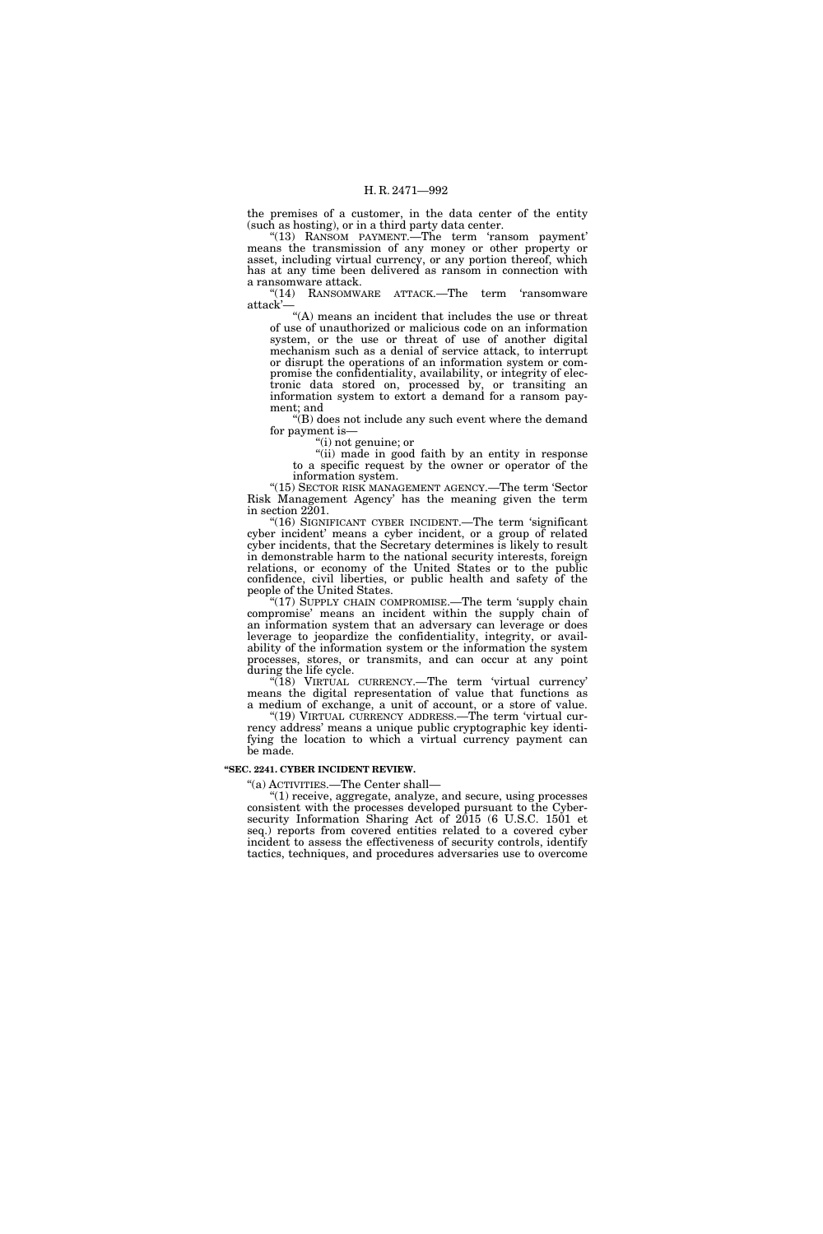the premises of a customer, in the data center of the entity (such as hosting), or in a third party data center.

"(13) RANSOM PAYMENT. The term 'ransom payment' means the transmission of any money or other property or asset, including virtual currency, or any portion thereof, which has at any time been delivered as ransom in connection with a ransomware attack.

"(14) RANSOMWARE ATTACK.—The term 'ransomware attack'—

"(A) means an incident that includes the use or threat of use of unauthorized or malicious code on an information system, or the use or threat of use of another digital mechanism such as a denial of service attack, to interrupt or disrupt the operations of an information system or compromise the confidentiality, availability, or integrity of electronic data stored on, processed by, or transiting an information system to extort a demand for a ransom payment; and

''(B) does not include any such event where the demand for payment is—

''(i) not genuine; or

"(ii) made in good faith by an entity in response to a specific request by the owner or operator of the information system.

"(15) SECTOR RISK MANAGEMENT AGENCY.—The term 'Sector Risk Management Agency' has the meaning given the term in section 2201.

"(16) SIGNIFICANT CYBER INCIDENT.—The term 'significant cyber incident' means a cyber incident, or a group of related cyber incidents, that the Secretary determines is likely to result in demonstrable harm to the national security interests, foreign relations, or economy of the United States or to the public confidence, civil liberties, or public health and safety of the people of the United States.

 $(17)$  SUPPLY CHAIN COMPROMISE.—The term 'supply chain compromise' means an incident within the supply chain of an information system that an adversary can leverage or does leverage to jeopardize the confidentiality, integrity, or availability of the information system or the information the system processes, stores, or transmits, and can occur at any point during the life cycle.

"(18) VIRTUAL CURRENCY.—The term 'virtual currency' means the digital representation of value that functions as a medium of exchange, a unit of account, or a store of value.

"(19) VIRTUAL CURRENCY ADDRESS.—The term 'virtual currency address' means a unique public cryptographic key identifying the location to which a virtual currency payment can be made.

#### **''SEC. 2241. CYBER INCIDENT REVIEW.**

''(a) ACTIVITIES.—The Center shall—

''(1) receive, aggregate, analyze, and secure, using processes consistent with the processes developed pursuant to the Cybersecurity Information Sharing Act of 2015 (6 U.S.C. 1501 et seq.) reports from covered entities related to a covered cyber incident to assess the effectiveness of security controls, identify tactics, techniques, and procedures adversaries use to overcome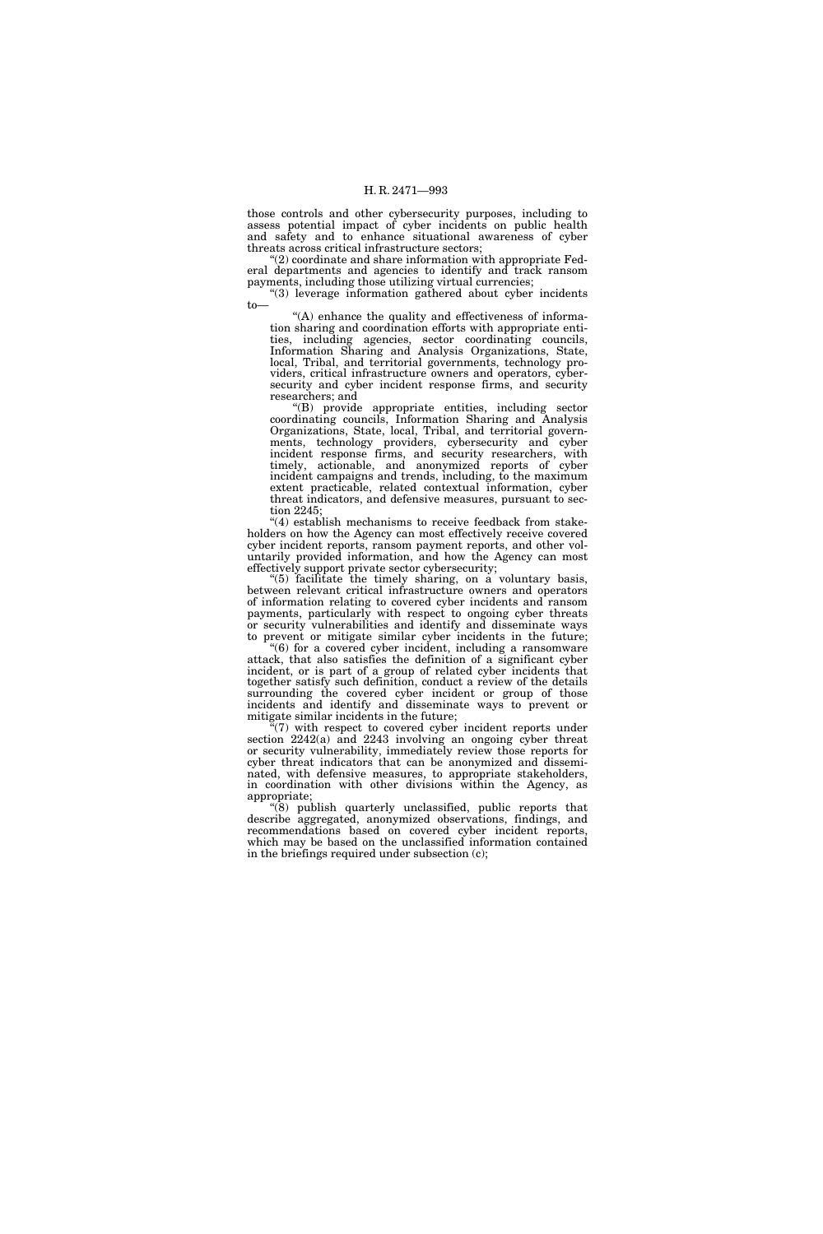those controls and other cybersecurity purposes, including to assess potential impact of cyber incidents on public health and safety and to enhance situational awareness of cyber threats across critical infrastructure sectors;

 $(2)$  coordinate and share information with appropriate Federal departments and agencies to identify and track ransom payments, including those utilizing virtual currencies;

''(3) leverage information gathered about cyber incidents to—

''(A) enhance the quality and effectiveness of information sharing and coordination efforts with appropriate entities, including agencies, sector coordinating councils, Information Sharing and Analysis Organizations, State, local, Tribal, and territorial governments, technology providers, critical infrastructure owners and operators, cybersecurity and cyber incident response firms, and security researchers; and

''(B) provide appropriate entities, including sector coordinating councils, Information Sharing and Analysis Organizations, State, local, Tribal, and territorial governments, technology providers, cybersecurity and cyber incident response firms, and security researchers, with timely, actionable, and anonymized reports of cyber incident campaigns and trends, including, to the maximum extent practicable, related contextual information, cyber threat indicators, and defensive measures, pursuant to section 2245;

''(4) establish mechanisms to receive feedback from stakeholders on how the Agency can most effectively receive covered cyber incident reports, ransom payment reports, and other voluntarily provided information, and how the Agency can most effectively support private sector cybersecurity;

''(5) facilitate the timely sharing, on a voluntary basis, between relevant critical infrastructure owners and operators of information relating to covered cyber incidents and ransom payments, particularly with respect to ongoing cyber threats or security vulnerabilities and identify and disseminate ways to prevent or mitigate similar cyber incidents in the future;

"(6) for a covered cyber incident, including a ransomware attack, that also satisfies the definition of a significant cyber incident, or is part of a group of related cyber incidents that together satisfy such definition, conduct a review of the details surrounding the covered cyber incident or group of those incidents and identify and disseminate ways to prevent or mitigate similar incidents in the future;

 $\sqrt[n]{(7)}$  with respect to covered cyber incident reports under section 2242(a) and 2243 involving an ongoing cyber threat or security vulnerability, immediately review those reports for cyber threat indicators that can be anonymized and disseminated, with defensive measures, to appropriate stakeholders, in coordination with other divisions within the Agency, as appropriate;

''(8) publish quarterly unclassified, public reports that describe aggregated, anonymized observations, findings, and recommendations based on covered cyber incident reports, which may be based on the unclassified information contained in the briefings required under subsection (c);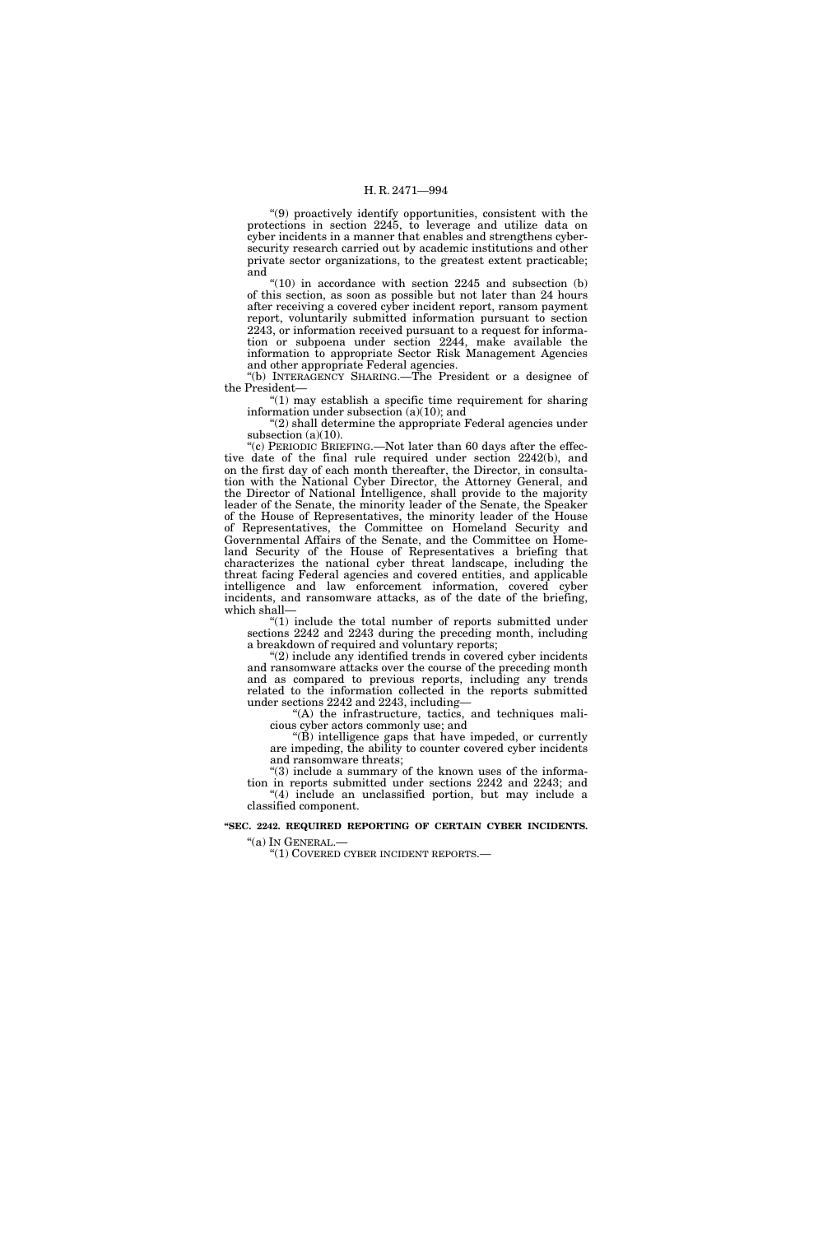''(9) proactively identify opportunities, consistent with the protections in section 2245, to leverage and utilize data on cyber incidents in a manner that enables and strengthens cybersecurity research carried out by academic institutions and other private sector organizations, to the greatest extent practicable; and

 $"(10)$  in accordance with section 2245 and subsection (b) of this section, as soon as possible but not later than 24 hours after receiving a covered cyber incident report, ransom payment report, voluntarily submitted information pursuant to section 2243, or information received pursuant to a request for information or subpoena under section 2244, make available the information to appropriate Sector Risk Management Agencies and other appropriate Federal agencies.

''(b) INTERAGENCY SHARING.—The President or a designee of the President—

" $(1)$  may establish a specific time requirement for sharing information under subsection (a)(10); and

''(2) shall determine the appropriate Federal agencies under subsection (a)(10).

''(c) PERIODIC BRIEFING.—Not later than 60 days after the effective date of the final rule required under section 2242(b), and on the first day of each month thereafter, the Director, in consultation with the National Cyber Director, the Attorney General, and the Director of National Intelligence, shall provide to the majority leader of the Senate, the minority leader of the Senate, the Speaker of the House of Representatives, the minority leader of the House of Representatives, the Committee on Homeland Security and Governmental Affairs of the Senate, and the Committee on Homeland Security of the House of Representatives a briefing that characterizes the national cyber threat landscape, including the threat facing Federal agencies and covered entities, and applicable intelligence and law enforcement information, covered cyber incidents, and ransomware attacks, as of the date of the briefing, which shall—

"(1) include the total number of reports submitted under sections 2242 and 2243 during the preceding month, including a breakdown of required and voluntary reports;

 $(2)$  include any identified trends in covered cyber incidents and ransomware attacks over the course of the preceding month and as compared to previous reports, including any trends related to the information collected in the reports submitted under sections 2242 and 2243, including—

"(A) the infrastructure, tactics, and techniques malicious cyber actors commonly use; and

''(B) intelligence gaps that have impeded, or currently are impeding, the ability to counter covered cyber incidents and ransomware threats;

" $(3)$  include a summary of the known uses of the information in reports submitted under sections 2242 and 2243; and ''(4) include an unclassified portion, but may include a classified component.

**''SEC. 2242. REQUIRED REPORTING OF CERTAIN CYBER INCIDENTS.**  ''(a) IN GENERAL.—

"(1) COVERED CYBER INCIDENT REPORTS.—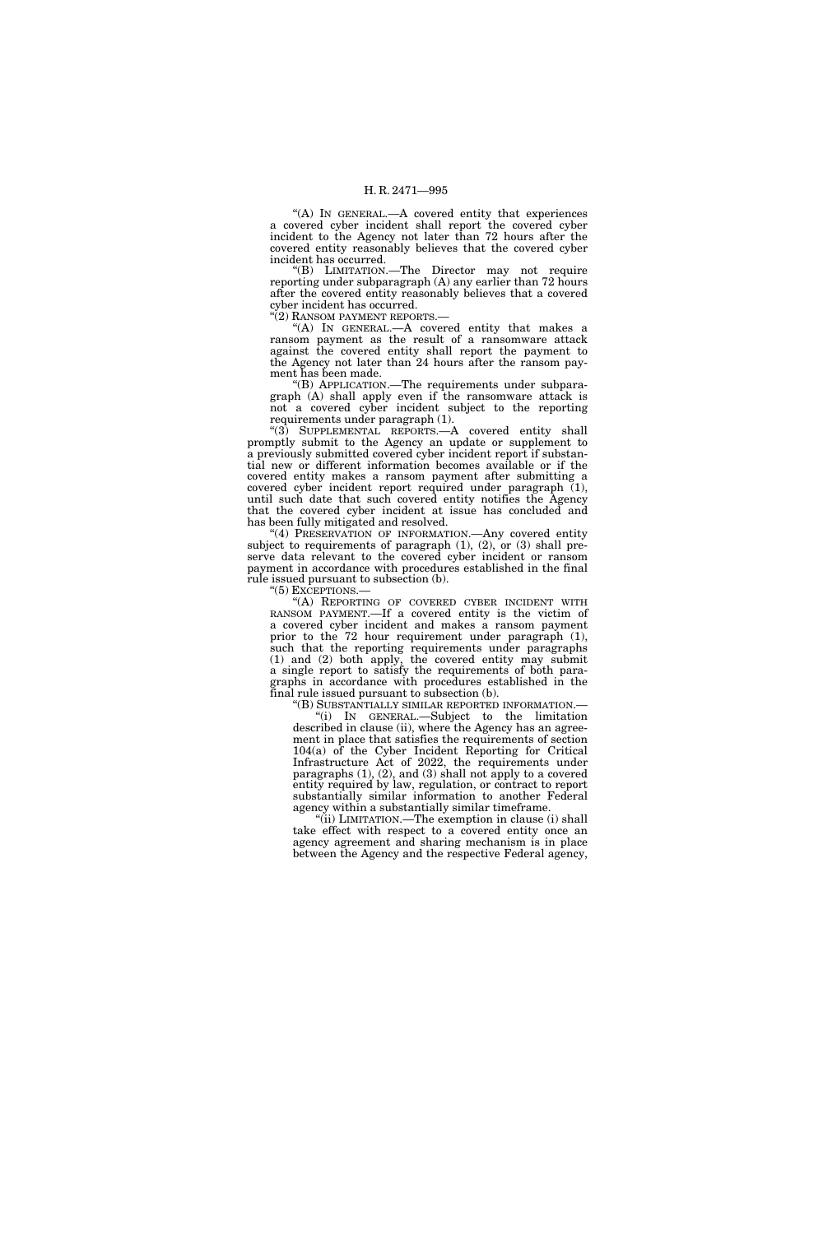"(A) IN GENERAL.—A covered entity that experiences a covered cyber incident shall report the covered cyber incident to the Agency not later than 72 hours after the covered entity reasonably believes that the covered cyber incident has occurred.

''(B) LIMITATION.—The Director may not require reporting under subparagraph (A) any earlier than 72 hours after the covered entity reasonably believes that a covered cyber incident has occurred.

"(2) RANSOM PAYMENT REPORTS.—

''(A) IN GENERAL.—A covered entity that makes a ransom payment as the result of a ransomware attack against the covered entity shall report the payment to the Agency not later than 24 hours after the ransom payment has been made.

''(B) APPLICATION.—The requirements under subparagraph (A) shall apply even if the ransomware attack is not a covered cyber incident subject to the reporting requirements under paragraph (1).

"(3) SUPPLEMENTAL REPORTS.—A covered entity shall promptly submit to the Agency an update or supplement to a previously submitted covered cyber incident report if substantial new or different information becomes available or if the covered entity makes a ransom payment after submitting a covered cyber incident report required under paragraph (1), until such date that such covered entity notifies the Agency that the covered cyber incident at issue has concluded and has been fully mitigated and resolved.

"(4) PRESERVATION OF INFORMATION.—Any covered entity subject to requirements of paragraph (1), (2), or (3) shall preserve data relevant to the covered cyber incident or ransom payment in accordance with procedures established in the final rule issued pursuant to subsection (b).

''(5) EXCEPTIONS.—

'(A) REPORTING OF COVERED CYBER INCIDENT WITH RANSOM PAYMENT.—If a covered entity is the victim of a covered cyber incident and makes a ransom payment prior to the 72 hour requirement under paragraph (1), such that the reporting requirements under paragraphs (1) and (2) both apply, the covered entity may submit a single report to satisfy the requirements of both paragraphs in accordance with procedures established in the final rule issued pursuant to subsection (b).

''(B) SUBSTANTIALLY SIMILAR REPORTED INFORMATION.— ''(i) IN GENERAL.—Subject to the limitation described in clause (ii), where the Agency has an agreement in place that satisfies the requirements of section 104(a) of the Cyber Incident Reporting for Critical Infrastructure Act of 2022, the requirements under paragraphs (1), (2), and (3) shall not apply to a covered entity required by law, regulation, or contract to report substantially similar information to another Federal agency within a substantially similar timeframe.

''(ii) LIMITATION.—The exemption in clause (i) shall take effect with respect to a covered entity once an agency agreement and sharing mechanism is in place between the Agency and the respective Federal agency,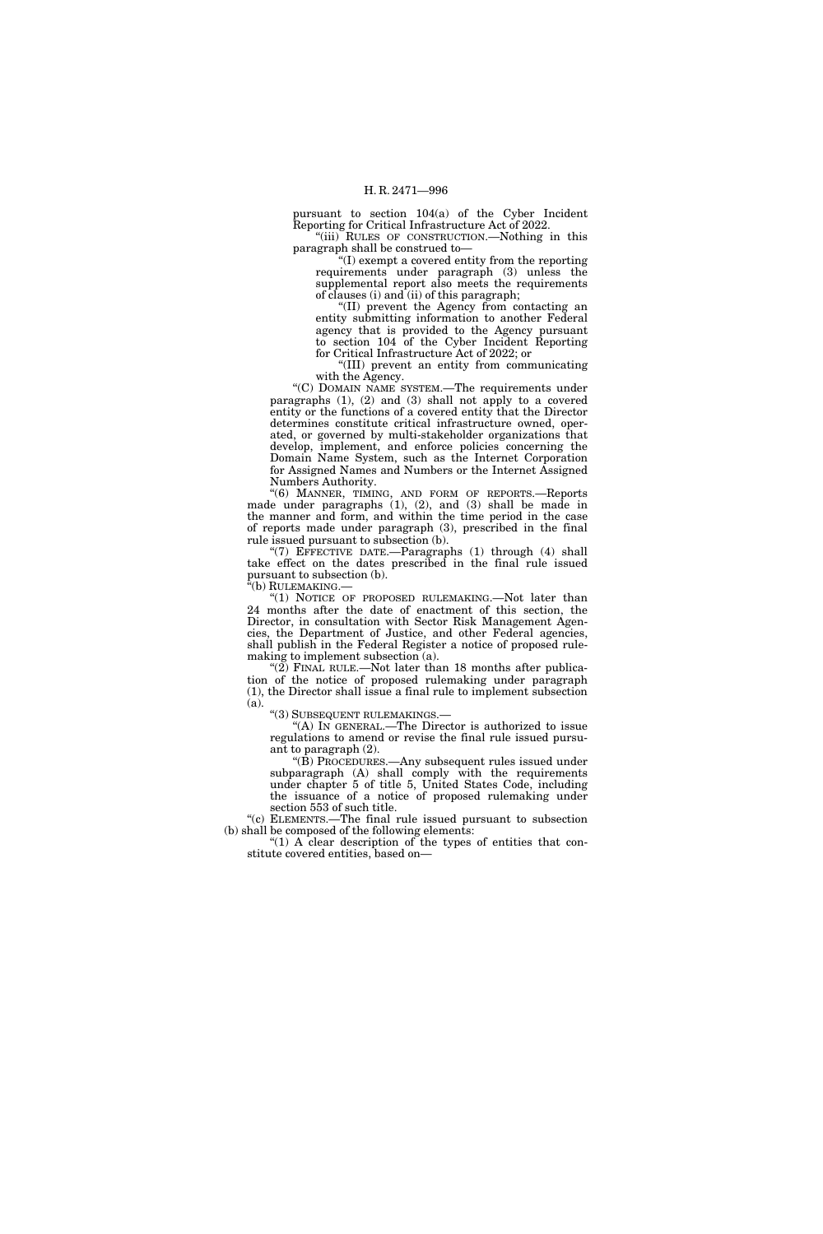pursuant to section 104(a) of the Cyber Incident Reporting for Critical Infrastructure Act of 2022.

''(iii) RULES OF CONSTRUCTION.—Nothing in this paragraph shall be construed to—

 $f(I)$  exempt a covered entity from the reporting requirements under paragraph (3) unless the supplemental report also meets the requirements of clauses (i) and (ii) of this paragraph;

''(II) prevent the Agency from contacting an entity submitting information to another Federal agency that is provided to the Agency pursuant to section 104 of the Cyber Incident Reporting for Critical Infrastructure Act of 2022; or

''(III) prevent an entity from communicating with the Agency.

"(C) DOMAIN NAME SYSTEM.—The requirements under paragraphs (1), (2) and (3) shall not apply to a covered entity or the functions of a covered entity that the Director determines constitute critical infrastructure owned, operated, or governed by multi-stakeholder organizations that develop, implement, and enforce policies concerning the Domain Name System, such as the Internet Corporation for Assigned Names and Numbers or the Internet Assigned Numbers Authority.

''(6) MANNER, TIMING, AND FORM OF REPORTS.—Reports made under paragraphs (1), (2), and (3) shall be made in the manner and form, and within the time period in the case of reports made under paragraph (3), prescribed in the final rule issued pursuant to subsection (b).

"(7) EFFECTIVE DATE.—Paragraphs  $(1)$  through  $(4)$  shall take effect on the dates prescribed in the final rule issued pursuant to subsection (b).

"(b) RULEMAKING.-

"(1) NOTICE OF PROPOSED RULEMAKING.—Not later than 24 months after the date of enactment of this section, the Director, in consultation with Sector Risk Management Agencies, the Department of Justice, and other Federal agencies, shall publish in the Federal Register a notice of proposed rulemaking to implement subsection (a).

" $(2)$  FINAL RULE.—Not later than 18 months after publication of the notice of proposed rulemaking under paragraph (1), the Director shall issue a final rule to implement subsection (a).

''(3) SUBSEQUENT RULEMAKINGS.—

''(A) IN GENERAL.—The Director is authorized to issue regulations to amend or revise the final rule issued pursuant to paragraph (2).

''(B) PROCEDURES.—Any subsequent rules issued under  $subparam$  (A) shall comply with the requirements under chapter 5 of title 5, United States Code, including the issuance of a notice of proposed rulemaking under section 553 of such title.

''(c) ELEMENTS.—The final rule issued pursuant to subsection (b) shall be composed of the following elements:

 $(1)$  A clear description of the types of entities that constitute covered entities, based on—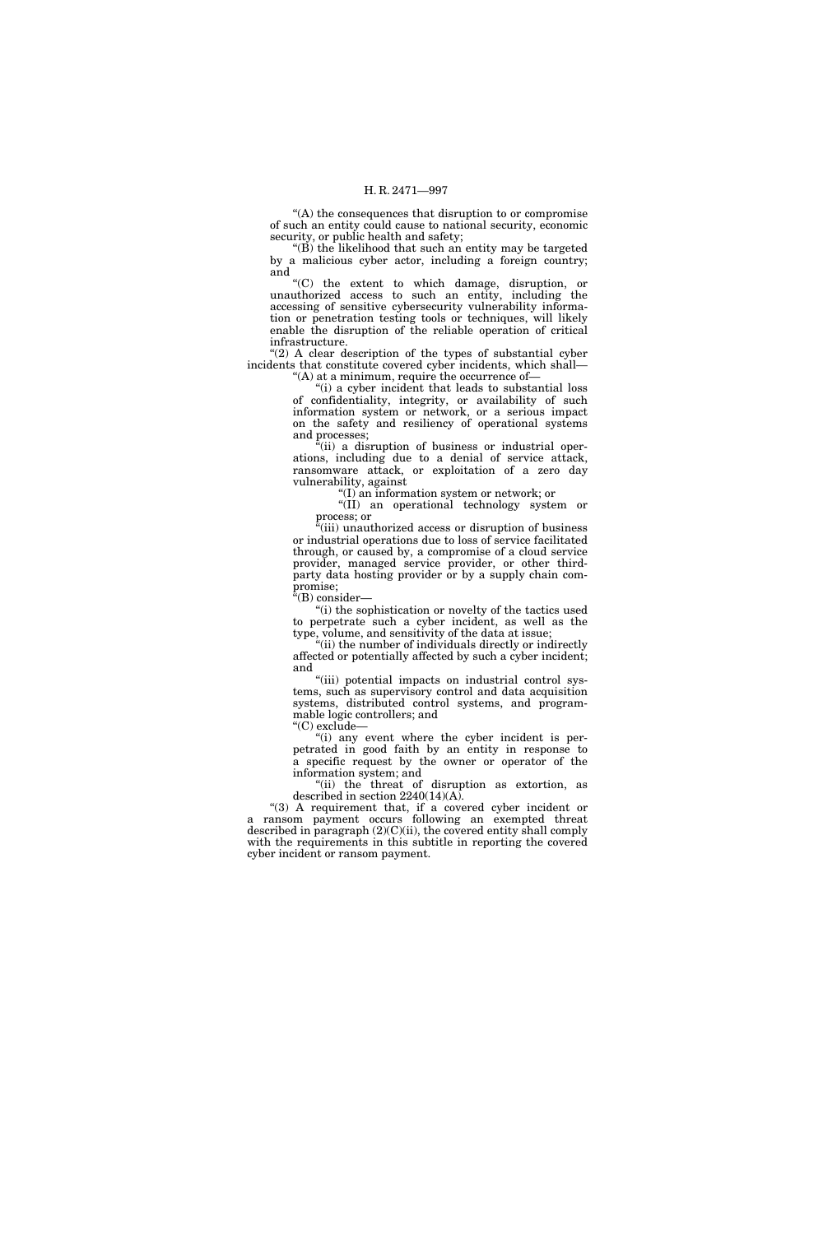''(A) the consequences that disruption to or compromise of such an entity could cause to national security, economic security, or public health and safety;

''(B) the likelihood that such an entity may be targeted by a malicious cyber actor, including a foreign country; and  $C$ <sup>"</sup>(C)

the extent to which damage, disruption, or unauthorized access to such an entity, including the accessing of sensitive cybersecurity vulnerability information or penetration testing tools or techniques, will likely enable the disruption of the reliable operation of critical infrastructure.

" $(2)$  A clear description of the types of substantial cyber incidents that constitute covered cyber incidents, which shall—  $H(A)$  at a minimum, require the occurrence of-

"(i) a cyber incident that leads to substantial loss

of confidentiality, integrity, or availability of such information system or network, or a serious impact on the safety and resiliency of operational systems and processes;

 $\alpha$ <sup>t</sup>(ii) a disruption of business or industrial operations, including due to a denial of service attack, ransomware attack, or exploitation of a zero day vulnerability, against

''(I) an information system or network; or

''(II) an operational technology system or process; or

''(iii) unauthorized access or disruption of business or industrial operations due to loss of service facilitated through, or caused by, a compromise of a cloud service provider, managed service provider, or other thirdparty data hosting provider or by a supply chain compromise;

''(B) consider—

"(i) the sophistication or novelty of the tactics used to perpetrate such a cyber incident, as well as the type, volume, and sensitivity of the data at issue;

 $\mathcal{L}$ <sup>i</sup>(ii) the number of individuals directly or indirectly affected or potentially affected by such a cyber incident; and

"(iii) potential impacts on industrial control systems, such as supervisory control and data acquisition systems, distributed control systems, and programmable logic controllers; and

''(C) exclude—

"(i) any event where the cyber incident is perpetrated in good faith by an entity in response to a specific request by the owner or operator of the information system; and

''(ii) the threat of disruption as extortion, as described in section 2240(14)(A).

"(3) A requirement that, if a covered cyber incident or a ransom payment occurs following an exempted threat described in paragraph  $(2)(C)(ii)$ , the covered entity shall comply with the requirements in this subtitle in reporting the covered cyber incident or ransom payment.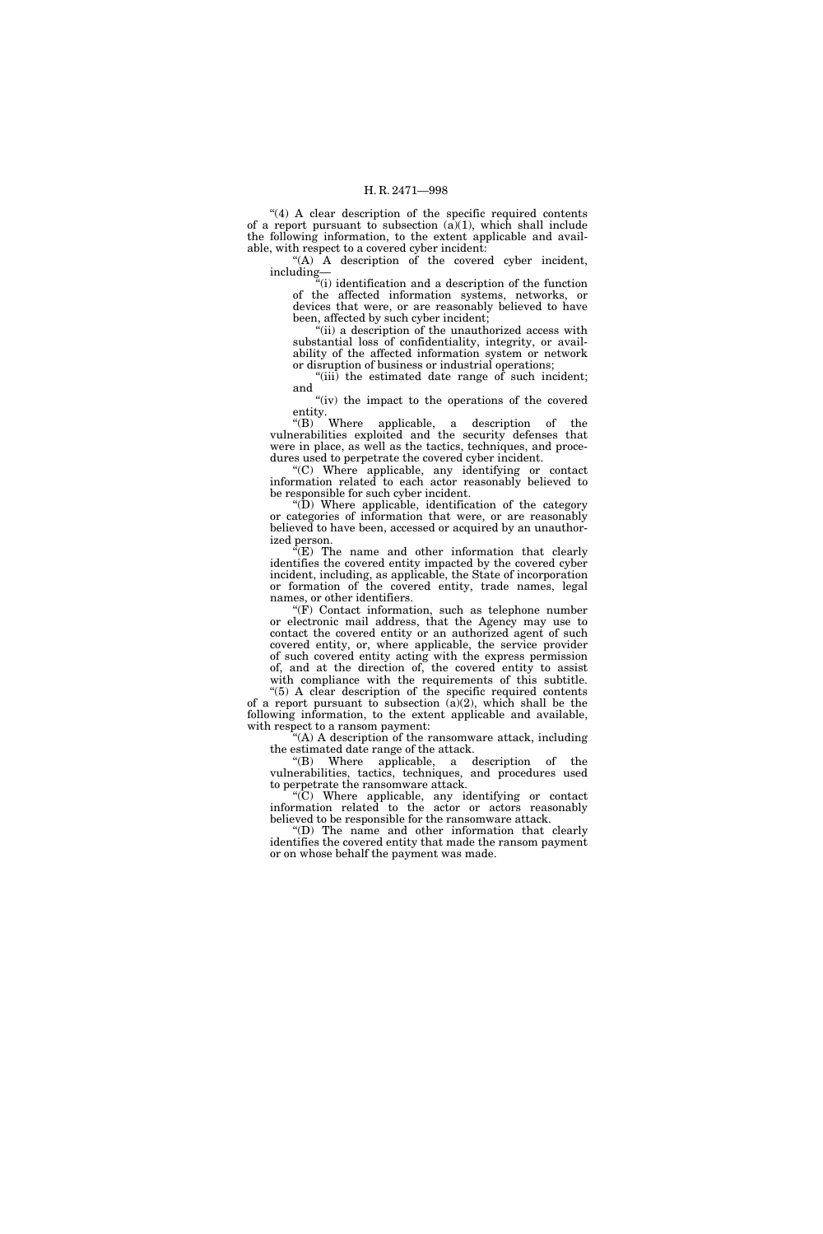"(4) A clear description of the specific required contents of a report pursuant to subsection  $(a)(1)$ , which shall include the following information, to the extent applicable and available, with respect to a covered cyber incident:

 $(A)$  A description of the covered cyber incident, including—

''(i) identification and a description of the function of the affected information systems, networks, or devices that were, or are reasonably believed to have been, affected by such cyber incident;

 $\cdot$ <sup>"(ii)</sup> a description of the unauthorized access with substantial loss of confidentiality, integrity, or availability of the affected information system or network or disruption of business or industrial operations;

"(iii) the estimated date range of such incident; and

"(iv) the impact to the operations of the covered entity.

''(B) Where applicable, a description of the vulnerabilities exploited and the security defenses that were in place, as well as the tactics, techniques, and procedures used to perpetrate the covered cyber incident.

''(C) Where applicable, any identifying or contact information related to each actor reasonably believed to be responsible for such cyber incident.

" $(D)$  Where applicable, identification of the category or categories of information that were, or are reasonably believed to have been, accessed or acquired by an unauthorized person.

 $\hat{f}(E)$  The name and other information that clearly identifies the covered entity impacted by the covered cyber incident, including, as applicable, the State of incorporation or formation of the covered entity, trade names, legal names, or other identifiers.

 $(F)$  Contact information, such as telephone number or electronic mail address, that the Agency may use to contact the covered entity or an authorized agent of such covered entity, or, where applicable, the service provider of such covered entity acting with the express permission of, and at the direction of, the covered entity to assist with compliance with the requirements of this subtitle.

''(5) A clear description of the specific required contents of a report pursuant to subsection  $(a)(2)$ , which shall be the following information, to the extent applicable and available, with respect to a ransom payment:

''(A) A description of the ransomware attack, including the estimated date range of the attack.

''(B) Where applicable, a description of the vulnerabilities, tactics, techniques, and procedures used to perpetrate the ransomware attack.

''(C) Where applicable, any identifying or contact information related to the actor or actors reasonably believed to be responsible for the ransomware attack.

''(D) The name and other information that clearly identifies the covered entity that made the ransom payment or on whose behalf the payment was made.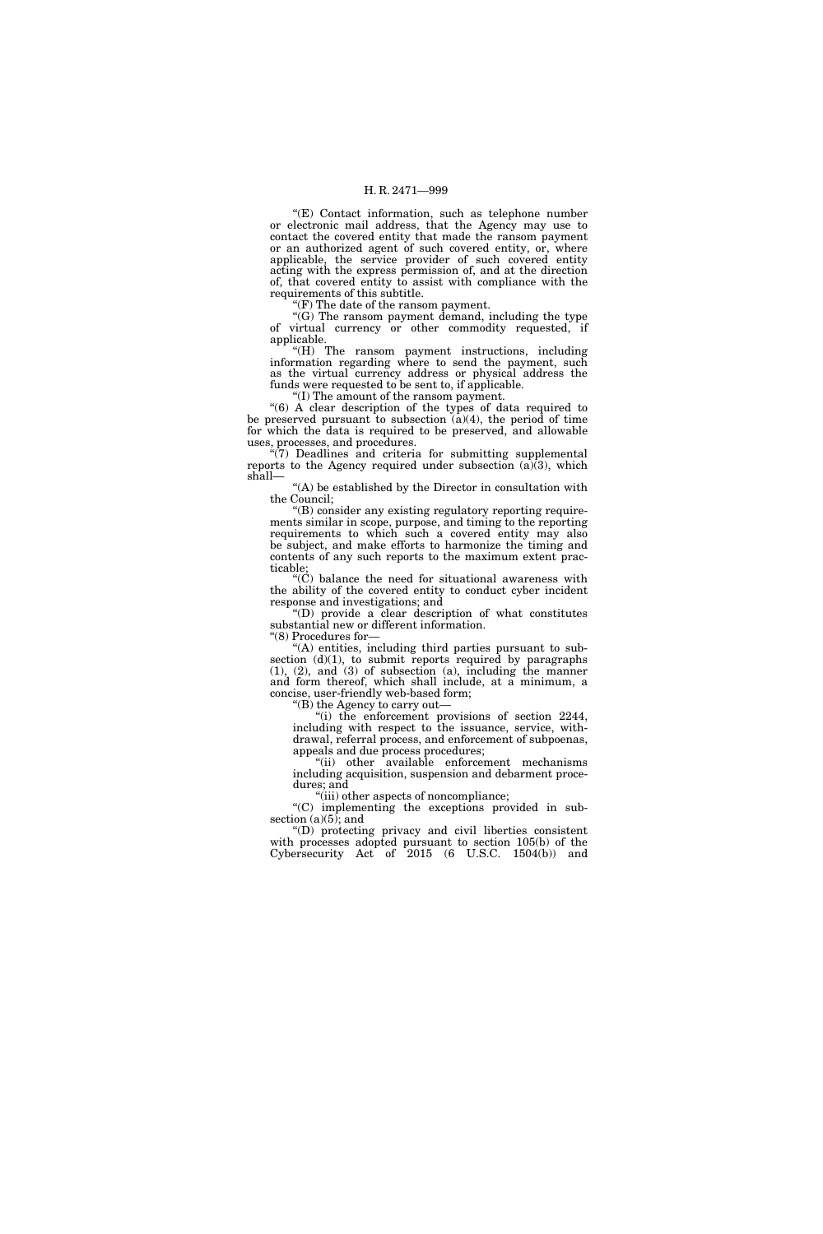''(E) Contact information, such as telephone number or electronic mail address, that the Agency may use to contact the covered entity that made the ransom payment or an authorized agent of such covered entity, or, where applicable, the service provider of such covered entity acting with the express permission of, and at the direction of, that covered entity to assist with compliance with the requirements of this subtitle.

''(F) The date of the ransom payment.

''(G) The ransom payment demand, including the type of virtual currency or other commodity requested, if applicable.

''(H) The ransom payment instructions, including information regarding where to send the payment, such as the virtual currency address or physical address the funds were requested to be sent to, if applicable.

''(I) The amount of the ransom payment.

''(6) A clear description of the types of data required to be preserved pursuant to subsection (a)(4), the period of time for which the data is required to be preserved, and allowable uses, processes, and procedures.

 $\sqrt{\frac{7}{7}}$  Deadlines and criteria for submitting supplemental reports to the Agency required under subsection  $(a)(3)$ , which shall—

''(A) be established by the Director in consultation with the Council;

''(B) consider any existing regulatory reporting requirements similar in scope, purpose, and timing to the reporting requirements to which such a covered entity may also be subject, and make efforts to harmonize the timing and contents of any such reports to the maximum extent practicable;

" $(\dot{C})$  balance the need for situational awareness with the ability of the covered entity to conduct cyber incident response and investigations; and

''(D) provide a clear description of what constitutes substantial new or different information.

''(8) Procedures for—

"(A) entities, including third parties pursuant to subsection  $(d)(1)$ , to submit reports required by paragraphs (1), (2), and (3) of subsection (a), including the manner and form thereof, which shall include, at a minimum, a concise, user-friendly web-based form;

''(B) the Agency to carry out—

''(i) the enforcement provisions of section 2244, including with respect to the issuance, service, withdrawal, referral process, and enforcement of subpoenas, appeals and due process procedures;

''(ii) other available enforcement mechanisms including acquisition, suspension and debarment procedures; and

"(iii) other aspects of noncompliance;

''(C) implementing the exceptions provided in subsection  $(a)(5)$ ; and

''(D) protecting privacy and civil liberties consistent with processes adopted pursuant to section 105(b) of the Cybersecurity Act of 2015 (6 U.S.C. 1504(b)) and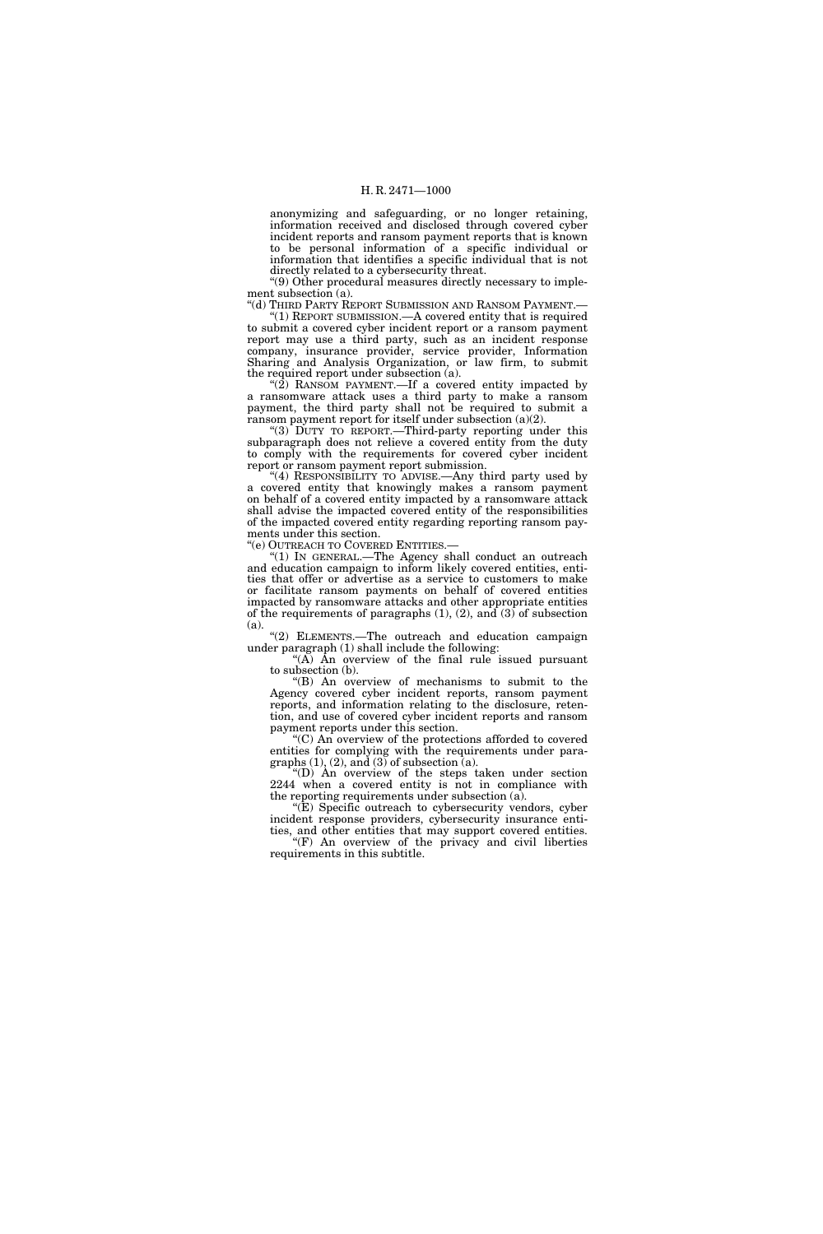anonymizing and safeguarding, or no longer retaining, information received and disclosed through covered cyber incident reports and ransom payment reports that is known to be personal information of a specific individual or information that identifies a specific individual that is not directly related to a cybersecurity threat.

''(9) Other procedural measures directly necessary to implement subsection (a).

''(d) THIRD PARTY REPORT SUBMISSION AND RANSOM PAYMENT.— ''(1) REPORT SUBMISSION.—A covered entity that is required to submit a covered cyber incident report or a ransom payment report may use a third party, such as an incident response company, insurance provider, service provider, Information Sharing and Analysis Organization, or law firm, to submit the required report under subsection (a).

"(2) RANSOM PAYMENT.—If a covered entity impacted by a ransomware attack uses a third party to make a ransom payment, the third party shall not be required to submit a ransom payment report for itself under subsection (a)(2).

''(3) DUTY TO REPORT.—Third-party reporting under this subparagraph does not relieve a covered entity from the duty to comply with the requirements for covered cyber incident report or ransom payment report submission.

"(4) RESPONSIBILITY TO ADVISE.—Any third party used by a covered entity that knowingly makes a ransom payment on behalf of a covered entity impacted by a ransomware attack shall advise the impacted covered entity of the responsibilities of the impacted covered entity regarding reporting ransom payments under this section.

''(e) OUTREACH TO COVERED ENTITIES.—

'(1) IN GENERAL.—The Agency shall conduct an outreach and education campaign to inform likely covered entities, entities that offer or advertise as a service to customers to make or facilitate ransom payments on behalf of covered entities impacted by ransomware attacks and other appropriate entities of the requirements of paragraphs (1), (2), and (3) of subsection (a).

''(2) ELEMENTS.—The outreach and education campaign under paragraph (1) shall include the following:

" $(A)$  An overview of the final rule issued pursuant to subsection (b).

''(B) An overview of mechanisms to submit to the Agency covered cyber incident reports, ransom payment reports, and information relating to the disclosure, retention, and use of covered cyber incident reports and ransom payment reports under this section.

''(C) An overview of the protections afforded to covered entities for complying with the requirements under paragraphs  $(1)$ ,  $(2)$ , and  $(3)$  of subsection  $\bar{a}$ .

''(D) An overview of the steps taken under section 2244 when a covered entity is not in compliance with the reporting requirements under subsection (a).

"(E) Specific outreach to cybersecurity vendors, cyber incident response providers, cybersecurity insurance entities, and other entities that may support covered entities.

'(F) An overview of the privacy and civil liberties requirements in this subtitle.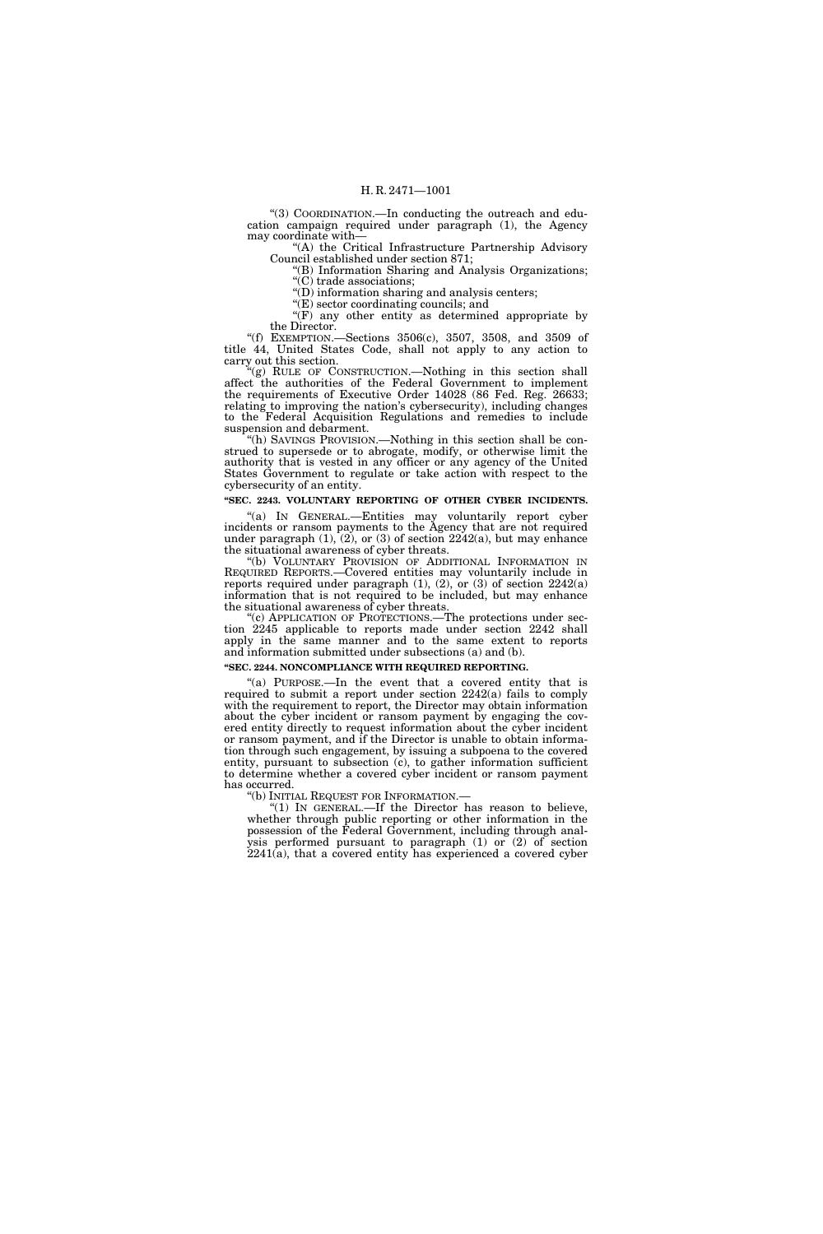''(3) COORDINATION.—In conducting the outreach and education campaign required under paragraph (1), the Agency may coordinate with—

''(A) the Critical Infrastructure Partnership Advisory Council established under section 871;

''(B) Information Sharing and Analysis Organizations; ''(C) trade associations;

''(D) information sharing and analysis centers;

''(E) sector coordinating councils; and

" $(F)$  any other entity as determined appropriate by the Director.

''(f) EXEMPTION.—Sections 3506(c), 3507, 3508, and 3509 of title 44, United States Code, shall not apply to any action to carry out this section.

''(g) RULE OF CONSTRUCTION.—Nothing in this section shall affect the authorities of the Federal Government to implement the requirements of Executive Order 14028 (86 Fed. Reg. 26633; relating to improving the nation's cybersecurity), including changes to the Federal Acquisition Regulations and remedies to include suspension and debarment.

''(h) SAVINGS PROVISION.—Nothing in this section shall be construed to supersede or to abrogate, modify, or otherwise limit the authority that is vested in any officer or any agency of the United States Government to regulate or take action with respect to the cybersecurity of an entity.

# **''SEC. 2243. VOLUNTARY REPORTING OF OTHER CYBER INCIDENTS.**

"(a) IN GENERAL.-Entities may voluntarily report cyber incidents or ransom payments to the Agency that are not required under paragraph  $(1)$ ,  $(2)$ , or  $(3)$  of section  $2242(a)$ , but may enhance the situational awareness of cyber threats.

''(b) VOLUNTARY PROVISION OF ADDITIONAL INFORMATION IN REQUIRED REPORTS.—Covered entities may voluntarily include in reports required under paragraph (1), (2), or (3) of section 2242(a) information that is not required to be included, but may enhance the situational awareness of cyber threats.

''(c) APPLICATION OF PROTECTIONS.—The protections under section 2245 applicable to reports made under section 2242 shall apply in the same manner and to the same extent to reports and information submitted under subsections (a) and (b).

# **''SEC. 2244. NONCOMPLIANCE WITH REQUIRED REPORTING.**

"(a) PURPOSE.—In the event that a covered entity that is required to submit a report under section 2242(a) fails to comply with the requirement to report, the Director may obtain information about the cyber incident or ransom payment by engaging the covered entity directly to request information about the cyber incident or ransom payment, and if the Director is unable to obtain information through such engagement, by issuing a subpoena to the covered entity, pursuant to subsection (c), to gather information sufficient to determine whether a covered cyber incident or ransom payment has occurred.

''(b) INITIAL REQUEST FOR INFORMATION.— ''(1) IN GENERAL.—If the Director has reason to believe, whether through public reporting or other information in the possession of the Federal Government, including through analysis performed pursuant to paragraph (1) or (2) of section  $2241(a)$ , that a covered entity has experienced a covered cyber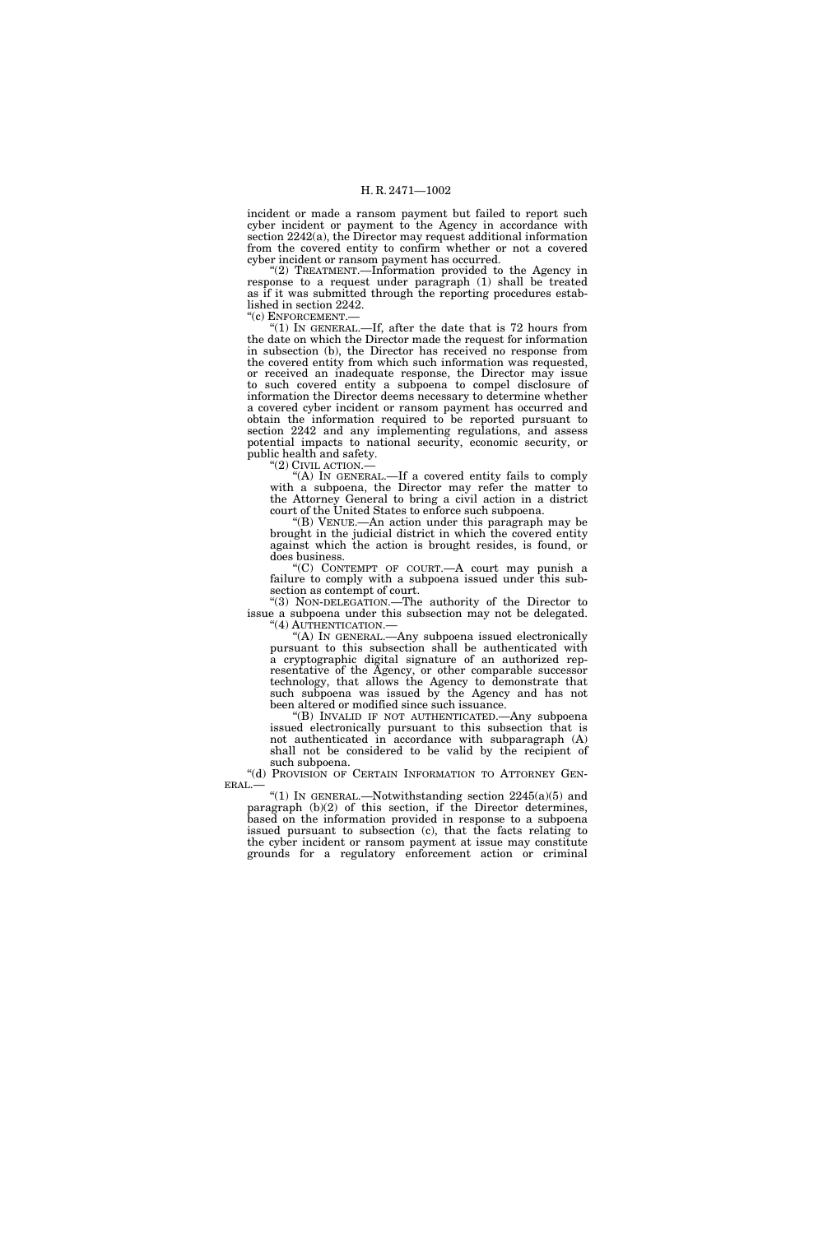incident or made a ransom payment but failed to report such cyber incident or payment to the Agency in accordance with section 2242(a), the Director may request additional information from the covered entity to confirm whether or not a covered cyber incident or ransom payment has occurred.

"(2) TREATMENT.—Information provided to the Agency in response to a request under paragraph (1) shall be treated as if it was submitted through the reporting procedures established in section 2242.

''(c) ENFORCEMENT.—

 $(1)$  In GENERAL.—If, after the date that is 72 hours from the date on which the Director made the request for information in subsection (b), the Director has received no response from the covered entity from which such information was requested, or received an inadequate response, the Director may issue to such covered entity a subpoena to compel disclosure of information the Director deems necessary to determine whether a covered cyber incident or ransom payment has occurred and obtain the information required to be reported pursuant to section 2242 and any implementing regulations, and assess potential impacts to national security, economic security, or public health and safety.

''(2) CIVIL ACTION.—

"(A) In GENERAL.—If a covered entity fails to comply with a subpoena, the Director may refer the matter to the Attorney General to bring a civil action in a district court of the United States to enforce such subpoena.

''(B) VENUE.—An action under this paragraph may be brought in the judicial district in which the covered entity against which the action is brought resides, is found, or does business.

 $(C)$  CONTEMPT OF COURT.—A court may punish a failure to comply with a subpoena issued under this subsection as contempt of court.

''(3) NON-DELEGATION.—The authority of the Director to issue a subpoena under this subsection may not be delegated.

''(4) AUTHENTICATION.— ''(A) IN GENERAL.—Any subpoena issued electronically pursuant to this subsection shall be authenticated with a cryptographic digital signature of an authorized representative of the Agency, or other comparable successor technology, that allows the Agency to demonstrate that such subpoena was issued by the Agency and has not been altered or modified since such issuance.

''(B) INVALID IF NOT AUTHENTICATED.—Any subpoena issued electronically pursuant to this subsection that is not authenticated in accordance with subparagraph (A) shall not be considered to be valid by the recipient of

such subpoena.<br>"(d) Provision of Certain Information to Attorney Gen-

 $ERAL$ — "(1) In GENERAL.—Notwithstanding section 2245(a)(5) and paragraph (b)(2) of this section, if the Director determines, based on the information provided in response to a subpoena issued pursuant to subsection (c), that the facts relating to the cyber incident or ransom payment at issue may constitute grounds for a regulatory enforcement action or criminal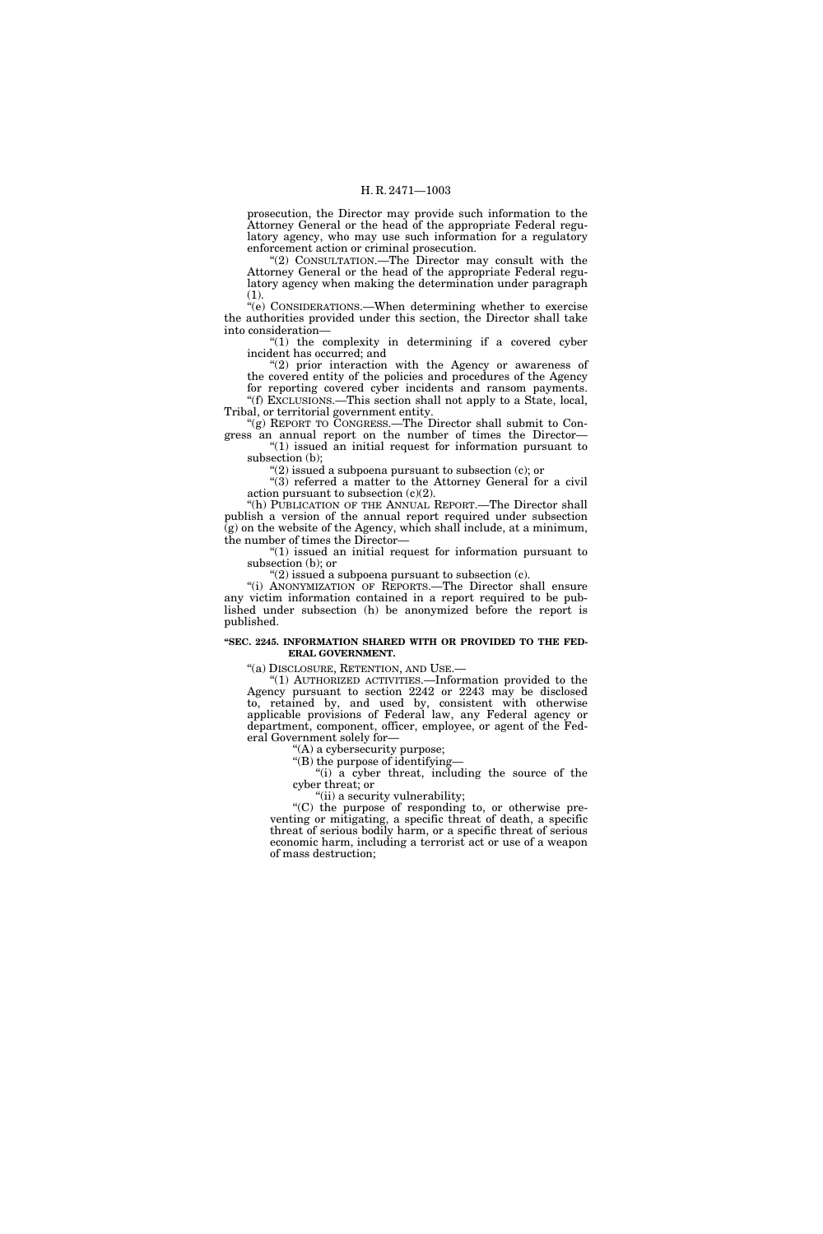prosecution, the Director may provide such information to the Attorney General or the head of the appropriate Federal regulatory agency, who may use such information for a regulatory enforcement action or criminal prosecution.

''(2) CONSULTATION.—The Director may consult with the Attorney General or the head of the appropriate Federal regulatory agency when making the determination under paragraph (1).

''(e) CONSIDERATIONS.—When determining whether to exercise the authorities provided under this section, the Director shall take into consideration—

" $(1)$  the complexity in determining if a covered cyber incident has occurred; and

"(2) prior interaction with the Agency or awareness of the covered entity of the policies and procedures of the Agency for reporting covered cyber incidents and ransom payments.

''(f) EXCLUSIONS.—This section shall not apply to a State, local, Tribal, or territorial government entity.

''(g) REPORT TO CONGRESS.—The Director shall submit to Congress an annual report on the number of times the Director—

" $(1)$  issued an initial request for information pursuant to subsection (b);

''(2) issued a subpoena pursuant to subsection (c); or

"(3) referred a matter to the Attorney General for a civil action pursuant to subsection  $(c)(2)$ .

"(h) PUBLICATION OF THE ANNUAL REPORT.—The Director shall publish a version of the annual report required under subsection  $(g)$  on the website of the Agency, which shall include, at a minimum, the number of times the Director—

 $''(1)$  issued an initial request for information pursuant to subsection (b); or

" $(2)$  issued a subpoena pursuant to subsection  $(c)$ .

''(i) ANONYMIZATION OF REPORTS.—The Director shall ensure any victim information contained in a report required to be published under subsection (h) be anonymized before the report is published.

# **''SEC. 2245. INFORMATION SHARED WITH OR PROVIDED TO THE FED-ERAL GOVERNMENT.**

''(a) DISCLOSURE, RETENTION, AND USE.—

''(1) AUTHORIZED ACTIVITIES.—Information provided to the Agency pursuant to section 2242 or 2243 may be disclosed to, retained by, and used by, consistent with otherwise applicable provisions of Federal law, any Federal agency or department, component, officer, employee, or agent of the Federal Government solely for—

''(A) a cybersecurity purpose;

''(B) the purpose of identifying— "(i) a cyber threat, including the source of the cyber threat; or

''(ii) a security vulnerability;

''(C) the purpose of responding to, or otherwise preventing or mitigating, a specific threat of death, a specific threat of serious bodily harm, or a specific threat of serious economic harm, including a terrorist act or use of a weapon of mass destruction;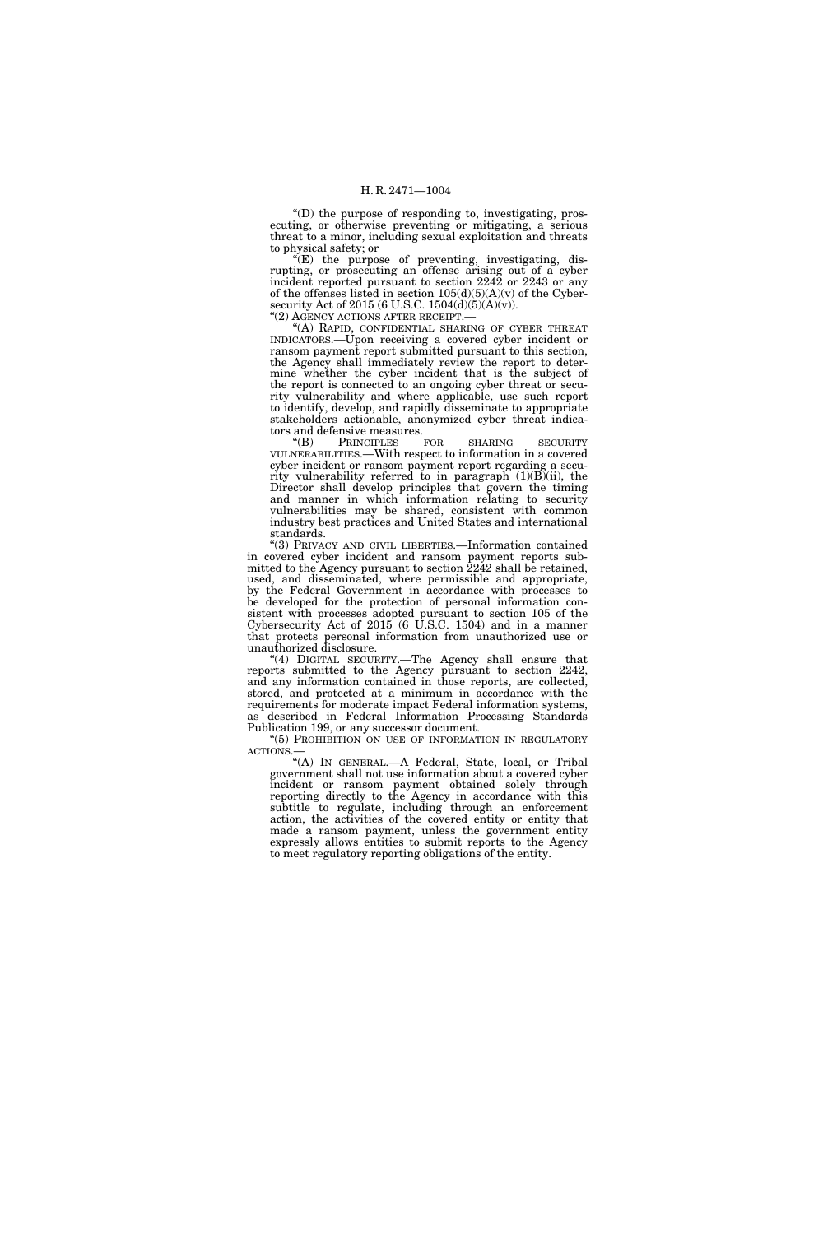''(D) the purpose of responding to, investigating, prosecuting, or otherwise preventing or mitigating, a serious threat to a minor, including sexual exploitation and threats to physical safety; or

''(E) the purpose of preventing, investigating, disrupting, or prosecuting an offense arising out of a cyber incident reported pursuant to section 2242 or 2243 or any of the offenses listed in section  $105(d)(5)(A)(v)$  of the Cybersecurity Act of 2015 (6 U.S.C. 1504(d)(5)(A)(v)).

''(2) AGENCY ACTIONS AFTER RECEIPT.—

'(A) RAPID, CONFIDENTIAL SHARING OF CYBER THREAT INDICATORS.—Upon receiving a covered cyber incident or ransom payment report submitted pursuant to this section, the Agency shall immediately review the report to determine whether the cyber incident that is the subject of the report is connected to an ongoing cyber threat or security vulnerability and where applicable, use such report to identify, develop, and rapidly disseminate to appropriate stakeholders actionable, anonymized cyber threat indicators and defensive measures.<br>
"(B) PRINCIPLES FOR

PRINCIPLES FOR SHARING SECURITY VULNERABILITIES.—With respect to information in a covered cyber incident or ransom payment report regarding a security vulnerability referred to in paragraph (1)(B)(ii), the Director shall develop principles that govern the timing and manner in which information relating to security vulnerabilities may be shared, consistent with common industry best practices and United States and international standards.

''(3) PRIVACY AND CIVIL LIBERTIES.—Information contained in covered cyber incident and ransom payment reports submitted to the Agency pursuant to section 2242 shall be retained, used, and disseminated, where permissible and appropriate, by the Federal Government in accordance with processes to be developed for the protection of personal information consistent with processes adopted pursuant to section 105 of the Cybersecurity Act of 2015 (6 U.S.C. 1504) and in a manner that protects personal information from unauthorized use or unauthorized disclosure.

"(4) DIGITAL SECURITY.—The Agency shall ensure that reports submitted to the Agency pursuant to section 2242, and any information contained in those reports, are collected, stored, and protected at a minimum in accordance with the requirements for moderate impact Federal information systems, as described in Federal Information Processing Standards Publication 199, or any successor document.

''(5) PROHIBITION ON USE OF INFORMATION IN REGULATORY ACTIONS.—

''(A) IN GENERAL.—A Federal, State, local, or Tribal government shall not use information about a covered cyber incident or ransom payment obtained solely through reporting directly to the Agency in accordance with this subtitle to regulate, including through an enforcement action, the activities of the covered entity or entity that made a ransom payment, unless the government entity expressly allows entities to submit reports to the Agency to meet regulatory reporting obligations of the entity.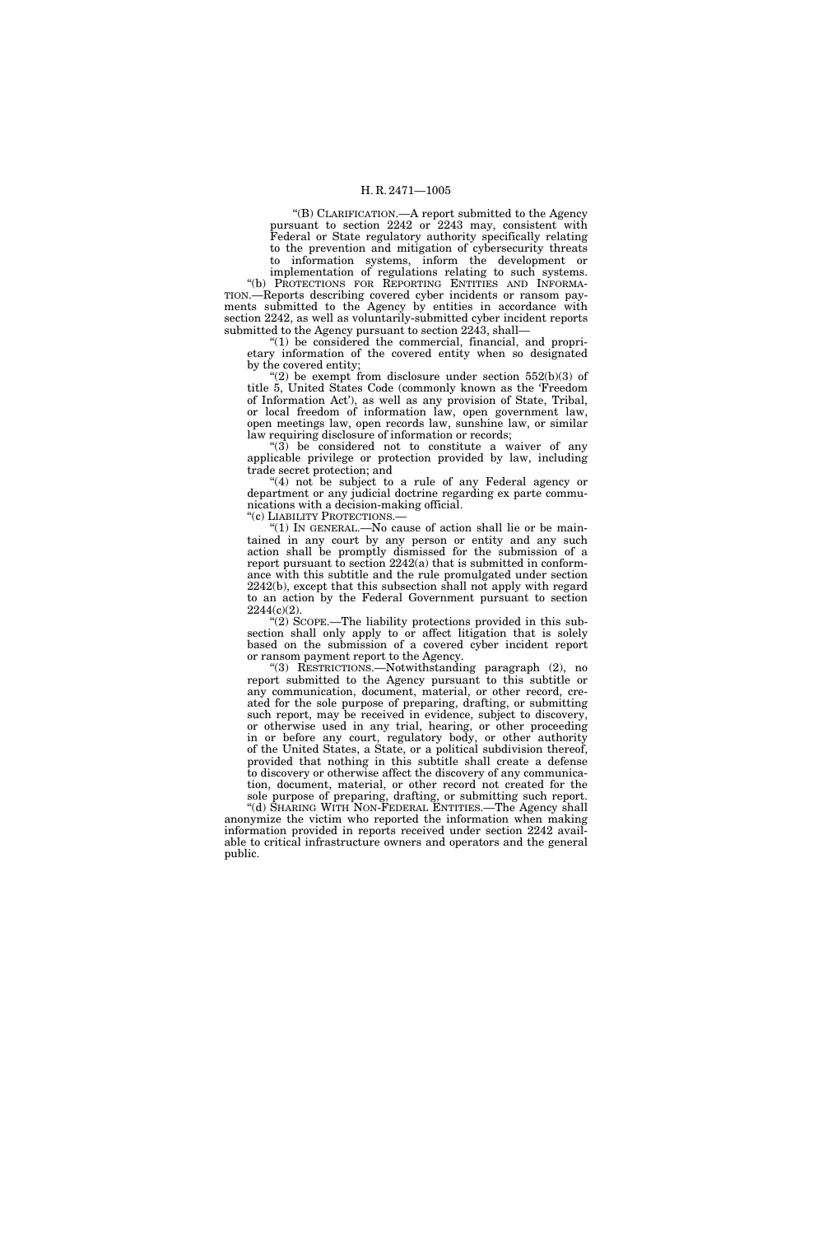''(B) CLARIFICATION.—A report submitted to the Agency pursuant to section 2242 or 2243 may, consistent with Federal or State regulatory authority specifically relating to the prevention and mitigation of cybersecurity threats to information systems, inform the development or

implementation of regulations relating to such systems. "(b) PROTECTIONS FOR REPORTING ENTITIES AND INFORMA-TION.—Reports describing covered cyber incidents or ransom payments submitted to the Agency by entities in accordance with section 2242, as well as voluntarily-submitted cyber incident reports submitted to the Agency pursuant to section 2243, shall—

''(1) be considered the commercial, financial, and proprietary information of the covered entity when so designated by the covered entity;

 $\mathcal{E}(2)$  be exempt from disclosure under section 552(b)(3) of title 5, United States Code (commonly known as the 'Freedom of Information Act'), as well as any provision of State, Tribal, or local freedom of information law, open government law, open meetings law, open records law, sunshine law, or similar law requiring disclosure of information or records;

 $(3)$  be considered not to constitute a waiver of any applicable privilege or protection provided by law, including trade secret protection; and

"(4) not be subject to a rule of any Federal agency or department or any judicial doctrine regarding ex parte communications with a decision-making official.

''(c) LIABILITY PROTECTIONS.—

" $(1)$  In GENERAL.—No cause of action shall lie or be maintained in any court by any person or entity and any such action shall be promptly dismissed for the submission of a report pursuant to section 2242(a) that is submitted in conformance with this subtitle and the rule promulgated under section 2242(b), except that this subsection shall not apply with regard to an action by the Federal Government pursuant to section 2244(c)(2).

 $\cdot$ (2) SCOPE.—The liability protections provided in this subsection shall only apply to or affect litigation that is solely based on the submission of a covered cyber incident report or ransom payment report to the Agency.

''(3) RESTRICTIONS.—Notwithstanding paragraph (2), no report submitted to the Agency pursuant to this subtitle or any communication, document, material, or other record, created for the sole purpose of preparing, drafting, or submitting such report, may be received in evidence, subject to discovery, or otherwise used in any trial, hearing, or other proceeding in or before any court, regulatory body, or other authority of the United States, a State, or a political subdivision thereof, provided that nothing in this subtitle shall create a defense to discovery or otherwise affect the discovery of any communication, document, material, or other record not created for the sole purpose of preparing, drafting, or submitting such report.

''(d) SHARING WITH NON-FEDERAL ENTITIES.—The Agency shall anonymize the victim who reported the information when making information provided in reports received under section 2242 available to critical infrastructure owners and operators and the general public.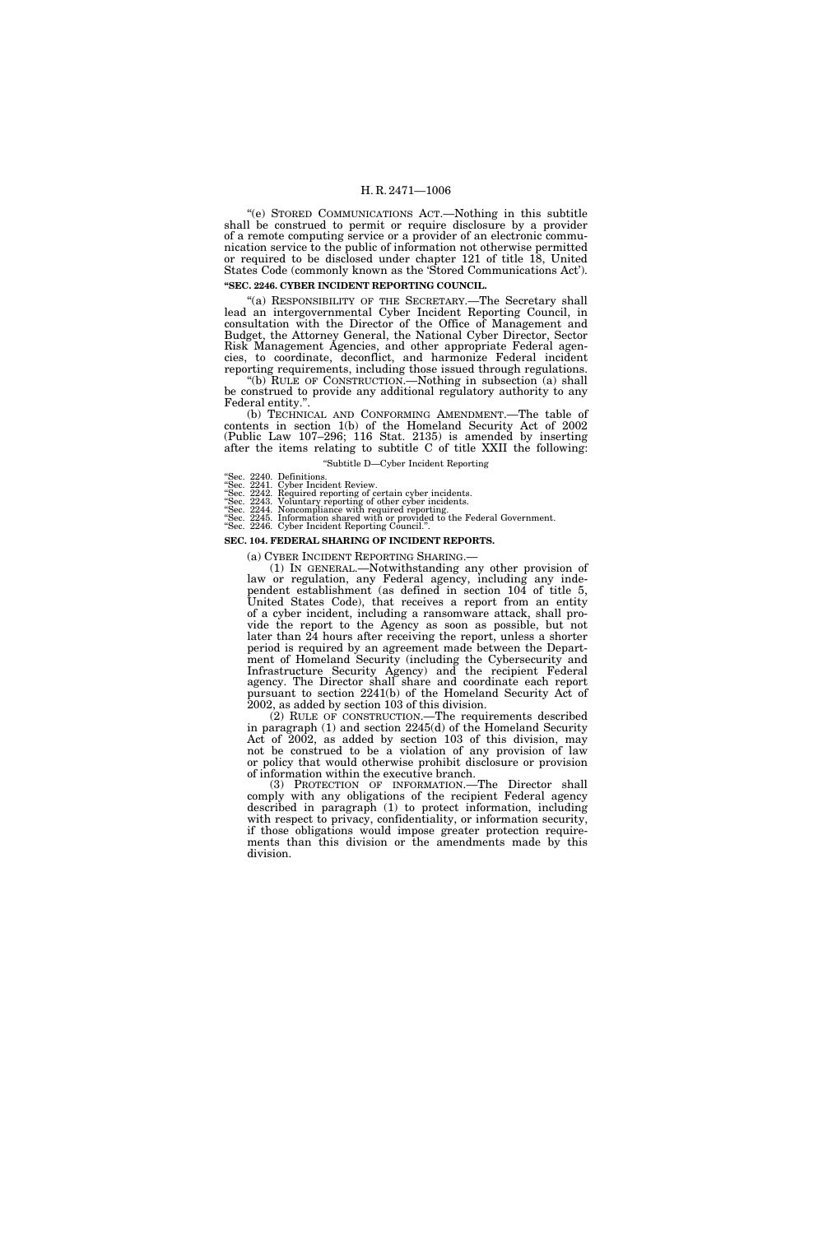''(e) STORED COMMUNICATIONS ACT.—Nothing in this subtitle shall be construed to permit or require disclosure by a provider of a remote computing service or a provider of an electronic communication service to the public of information not otherwise permitted or required to be disclosed under chapter 121 of title 18, United States Code (commonly known as the 'Stored Communications Act'). **''SEC. 2246. CYBER INCIDENT REPORTING COUNCIL.** 

"(a) RESPONSIBILITY OF THE SECRETARY.—The Secretary shall lead an intergovernmental Cyber Incident Reporting Council, in consultation with the Director of the Office of Management and Budget, the Attorney General, the National Cyber Director, Sector Risk Management Agencies, and other appropriate Federal agencies, to coordinate, deconflict, and harmonize Federal incident reporting requirements, including those issued through regulations.

''(b) RULE OF CONSTRUCTION.—Nothing in subsection (a) shall be construed to provide any additional regulatory authority to any Federal entity.

(b) TECHNICAL AND CONFORMING AMENDMENT.—The table of contents in section 1(b) of the Homeland Security Act of 2002 (Public Law 107–296; 116 Stat. 2135) is amended by inserting after the items relating to subtitle C of title XXII the following: ''Subtitle D—Cyber Incident Reporting

''Sec. 2240. Definitions.

- 
- "Sec. 2241. Cyber Incident Review.<br>"Sec. 2242. Required reporting of certain cyber incidents.<br>"Sec. 2243. Voluntary reporting of other cyber incidents.<br>"Sec. 2244. Noncompliance with required reporting.<br>"Sec. 2245. Informa
- "Sec. 2246. Cyber Incident Reporting Council.".

#### **SEC. 104. FEDERAL SHARING OF INCIDENT REPORTS.**

(a) CYBER INCIDENT REPORTING SHARING.—

(1) IN GENERAL.—Notwithstanding any other provision of law or regulation, any Federal agency, including any independent establishment (as defined in section 104 of title 5, United States Code), that receives a report from an entity of a cyber incident, including a ransomware attack, shall provide the report to the Agency as soon as possible, but not later than 24 hours after receiving the report, unless a shorter period is required by an agreement made between the Department of Homeland Security (including the Cybersecurity and Infrastructure Security Agency) and the recipient Federal agency. The Director shall share and coordinate each report pursuant to section 2241(b) of the Homeland Security Act of 2002, as added by section 103 of this division.

(2) RULE OF CONSTRUCTION.—The requirements described in paragraph (1) and section 2245(d) of the Homeland Security Act of 2002, as added by section 103 of this division, may not be construed to be a violation of any provision of law or policy that would otherwise prohibit disclosure or provision of information within the executive branch.

(3) PROTECTION OF INFORMATION.—The Director shall comply with any obligations of the recipient Federal agency described in paragraph (1) to protect information, including with respect to privacy, confidentiality, or information security, if those obligations would impose greater protection requirements than this division or the amendments made by this division.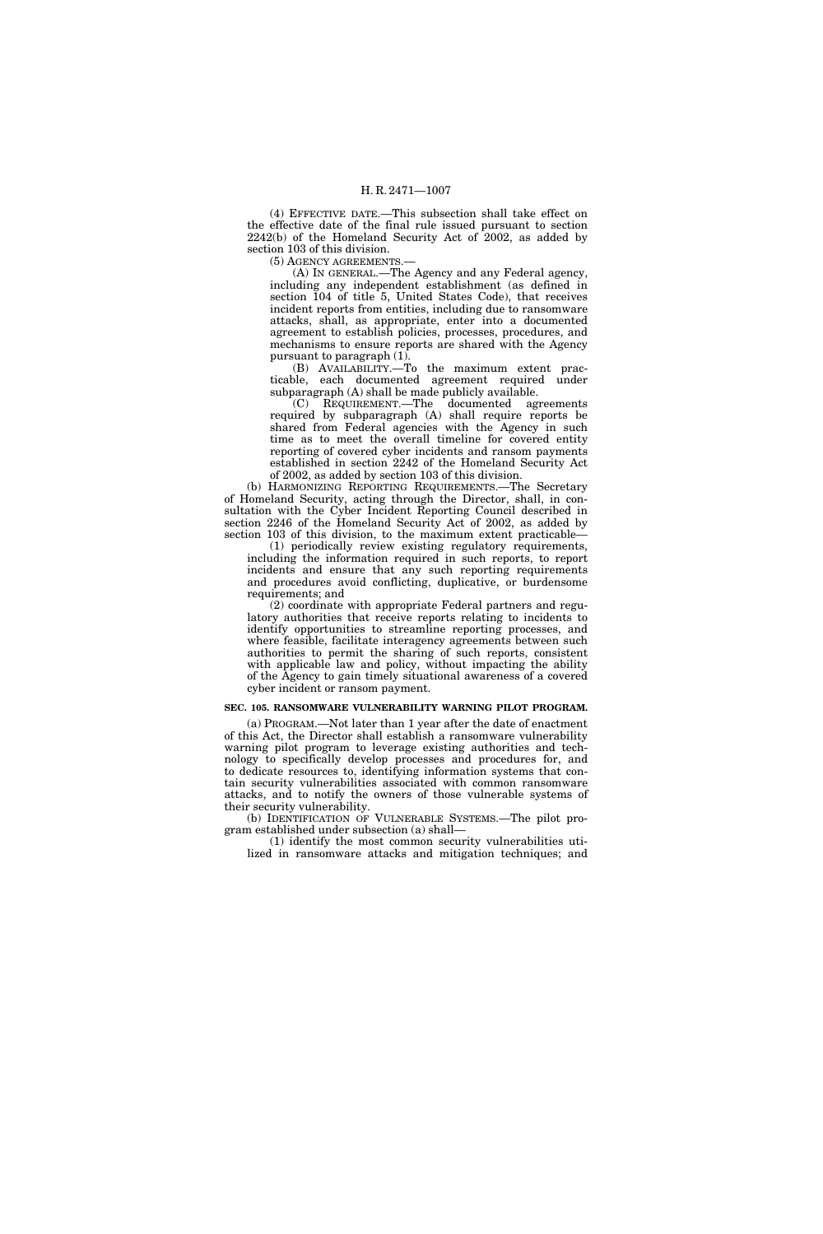(4) EFFECTIVE DATE.—This subsection shall take effect on the effective date of the final rule issued pursuant to section 2242(b) of the Homeland Security Act of 2002, as added by section 103 of this division.

(5) AGENCY AGREEMENTS.—

(A) IN GENERAL.—The Agency and any Federal agency, including any independent establishment (as defined in section 104 of title 5, United States Code), that receives incident reports from entities, including due to ransomware attacks, shall, as appropriate, enter into a documented agreement to establish policies, processes, procedures, and mechanisms to ensure reports are shared with the Agency pursuant to paragraph (1).

(B) AVAILABILITY.—To the maximum extent practicable, each documented agreement required under subparagraph (A) shall be made publicly available.

(C) REQUIREMENT.—The documented agreements required by subparagraph (A) shall require reports be shared from Federal agencies with the Agency in such time as to meet the overall timeline for covered entity reporting of covered cyber incidents and ransom payments established in section 2242 of the Homeland Security Act of 2002, as added by section 103 of this division.

(b) HARMONIZING REPORTING REQUIREMENTS.—The Secretary of Homeland Security, acting through the Director, shall, in consultation with the Cyber Incident Reporting Council described in section 2246 of the Homeland Security Act of 2002, as added by section 103 of this division, to the maximum extent practicable—

(1) periodically review existing regulatory requirements, including the information required in such reports, to report incidents and ensure that any such reporting requirements and procedures avoid conflicting, duplicative, or burdensome requirements; and

(2) coordinate with appropriate Federal partners and regulatory authorities that receive reports relating to incidents to identify opportunities to streamline reporting processes, and where feasible, facilitate interagency agreements between such authorities to permit the sharing of such reports, consistent with applicable law and policy, without impacting the ability of the Agency to gain timely situational awareness of a covered cyber incident or ransom payment.

# **SEC. 105. RANSOMWARE VULNERABILITY WARNING PILOT PROGRAM.**

(a) PROGRAM.—Not later than 1 year after the date of enactment of this Act, the Director shall establish a ransomware vulnerability warning pilot program to leverage existing authorities and technology to specifically develop processes and procedures for, and to dedicate resources to, identifying information systems that contain security vulnerabilities associated with common ransomware attacks, and to notify the owners of those vulnerable systems of their security vulnerability.

(b) IDENTIFICATION OF VULNERABLE SYSTEMS.—The pilot program established under subsection (a) shall—

(1) identify the most common security vulnerabilities utilized in ransomware attacks and mitigation techniques; and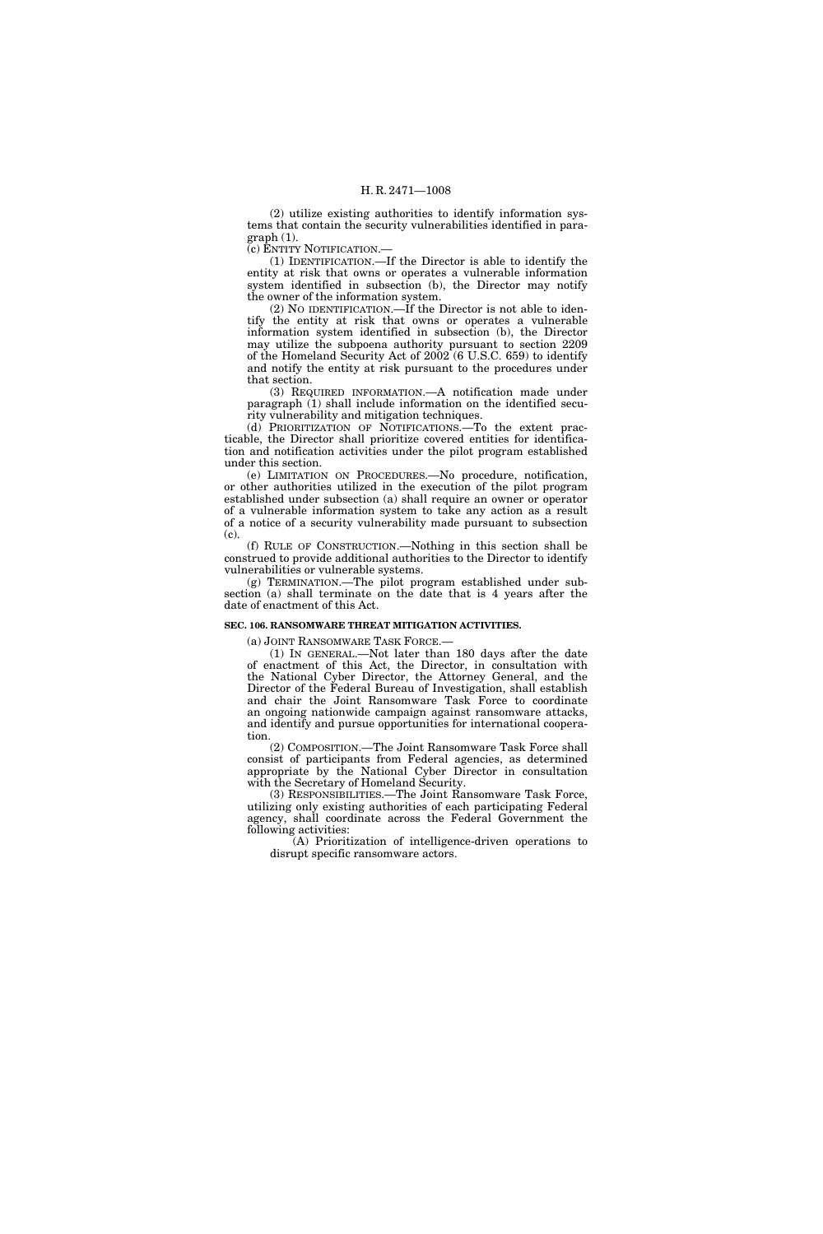(2) utilize existing authorities to identify information systems that contain the security vulnerabilities identified in paragraph (1).

(c) ENTITY NOTIFICATION.—

(1) IDENTIFICATION.—If the Director is able to identify the entity at risk that owns or operates a vulnerable information system identified in subsection (b), the Director may notify the owner of the information system.

(2) NO IDENTIFICATION.—If the Director is not able to identify the entity at risk that owns or operates a vulnerable information system identified in subsection (b), the Director may utilize the subpoena authority pursuant to section 2209 of the Homeland Security Act of 2002 (6 U.S.C. 659) to identify and notify the entity at risk pursuant to the procedures under that section.

(3) REQUIRED INFORMATION.—A notification made under paragraph (1) shall include information on the identified security vulnerability and mitigation techniques.

(d) PRIORITIZATION OF NOTIFICATIONS.—To the extent practicable, the Director shall prioritize covered entities for identification and notification activities under the pilot program established under this section.

(e) LIMITATION ON PROCEDURES.—No procedure, notification, or other authorities utilized in the execution of the pilot program established under subsection (a) shall require an owner or operator of a vulnerable information system to take any action as a result of a notice of a security vulnerability made pursuant to subsection (c).

(f) RULE OF CONSTRUCTION.—Nothing in this section shall be construed to provide additional authorities to the Director to identify vulnerabilities or vulnerable systems.

(g) TERMINATION.—The pilot program established under subsection (a) shall terminate on the date that is 4 years after the date of enactment of this Act.

#### **SEC. 106. RANSOMWARE THREAT MITIGATION ACTIVITIES.**

(a) JOINT RANSOMWARE TASK FORCE.—

(1) IN GENERAL.—Not later than 180 days after the date of enactment of this Act, the Director, in consultation with the National Cyber Director, the Attorney General, and the Director of the Federal Bureau of Investigation, shall establish and chair the Joint Ransomware Task Force to coordinate an ongoing nationwide campaign against ransomware attacks, and identify and pursue opportunities for international cooperation.

(2) COMPOSITION.—The Joint Ransomware Task Force shall consist of participants from Federal agencies, as determined appropriate by the National Cyber Director in consultation with the Secretary of Homeland Security.

(3) RESPONSIBILITIES.—The Joint Ransomware Task Force, utilizing only existing authorities of each participating Federal agency, shall coordinate across the Federal Government the following activities:

(A) Prioritization of intelligence-driven operations to disrupt specific ransomware actors.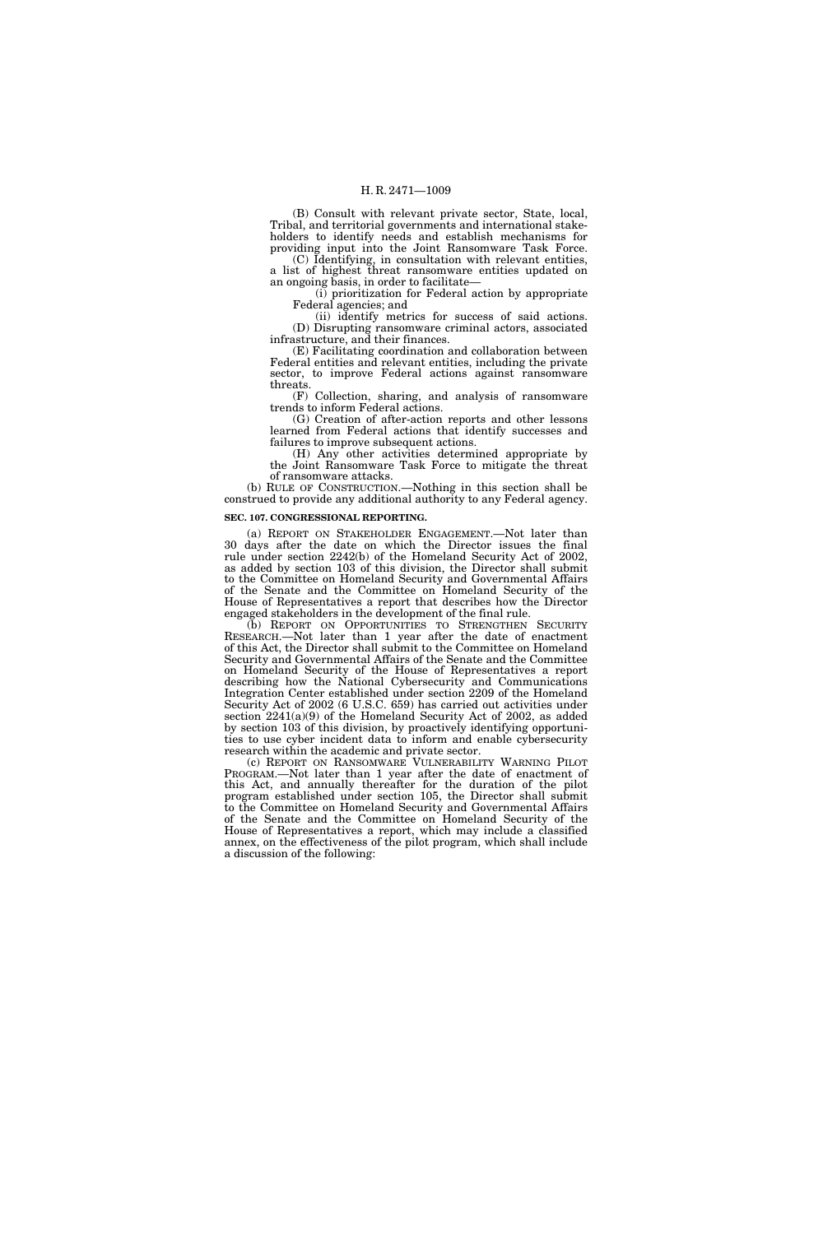(B) Consult with relevant private sector, State, local, Tribal, and territorial governments and international stakeholders to identify needs and establish mechanisms for providing input into the Joint Ransomware Task Force.

(C) Identifying, in consultation with relevant entities, a list of highest threat ransomware entities updated on an ongoing basis, in order to facilitate—

(i) prioritization for Federal action by appropriate Federal agencies; and

(ii) identify metrics for success of said actions. (D) Disrupting ransomware criminal actors, associated infrastructure, and their finances.

(E) Facilitating coordination and collaboration between Federal entities and relevant entities, including the private sector, to improve Federal actions against ransomware threats.

(F) Collection, sharing, and analysis of ransomware trends to inform Federal actions.

(G) Creation of after-action reports and other lessons learned from Federal actions that identify successes and failures to improve subsequent actions.

(H) Any other activities determined appropriate by the Joint Ransomware Task Force to mitigate the threat of ransomware attacks.

(b) RULE OF CONSTRUCTION.—Nothing in this section shall be construed to provide any additional authority to any Federal agency.

# **SEC. 107. CONGRESSIONAL REPORTING.**

(a) REPORT ON STAKEHOLDER ENGAGEMENT.—Not later than 30 days after the date on which the Director issues the final rule under section 2242(b) of the Homeland Security Act of 2002, as added by section 103 of this division, the Director shall submit to the Committee on Homeland Security and Governmental Affairs of the Senate and the Committee on Homeland Security of the House of Representatives a report that describes how the Director engaged stakeholders in the development of the final rule.

(b) REPORT ON OPPORTUNITIES TO STRENGTHEN SECURITY RESEARCH.—Not later than 1 year after the date of enactment of this Act, the Director shall submit to the Committee on Homeland Security and Governmental Affairs of the Senate and the Committee on Homeland Security of the House of Representatives a report describing how the National Cybersecurity and Communications Integration Center established under section 2209 of the Homeland Security Act of 2002 (6 U.S.C. 659) has carried out activities under section 2241(a)(9) of the Homeland Security Act of 2002, as added by section 103 of this division, by proactively identifying opportunities to use cyber incident data to inform and enable cybersecurity research within the academic and private sector.

(c) REPORT ON RANSOMWARE VULNERABILITY WARNING PILOT PROGRAM.—Not later than 1 year after the date of enactment of this Act, and annually thereafter for the duration of the pilot program established under section 105, the Director shall submit to the Committee on Homeland Security and Governmental Affairs of the Senate and the Committee on Homeland Security of the House of Representatives a report, which may include a classified annex, on the effectiveness of the pilot program, which shall include a discussion of the following: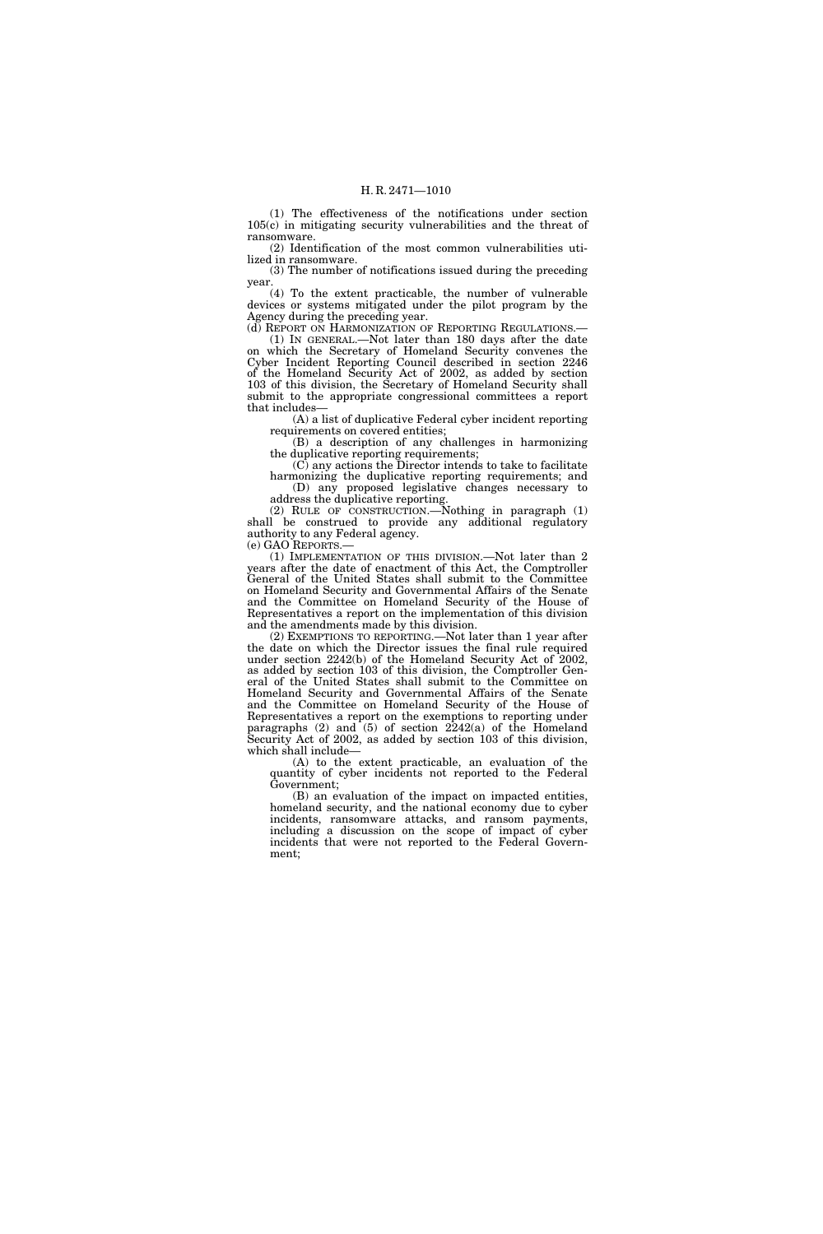(1) The effectiveness of the notifications under section 105(c) in mitigating security vulnerabilities and the threat of ransomware.

(2) Identification of the most common vulnerabilities utilized in ransomware.

(3) The number of notifications issued during the preceding year.

(4) To the extent practicable, the number of vulnerable devices or systems mitigated under the pilot program by the Agency during the preceding year.

(d) REPORT ON HARMONIZATION OF REPORTING REGULATIONS. (1) IN GENERAL.—Not later than 180 days after the date on which the Secretary of Homeland Security convenes the Cyber Incident Reporting Council described in section 2246 of the Homeland Security Act of 2002, as added by section 103 of this division, the Secretary of Homeland Security shall submit to the appropriate congressional committees a report that includes—

(A) a list of duplicative Federal cyber incident reporting requirements on covered entities;

(B) a description of any challenges in harmonizing the duplicative reporting requirements;

(C) any actions the Director intends to take to facilitate harmonizing the duplicative reporting requirements; and (D) any proposed legislative changes necessary to address the duplicative reporting.

(2) RULE OF CONSTRUCTION.—Nothing in paragraph (1) shall be construed to provide any additional regulatory authority to any Federal agency.

(e) GAO REPORTS.—

(1) IMPLEMENTATION OF THIS DIVISION.—Not later than 2 years after the date of enactment of this Act, the Comptroller General of the United States shall submit to the Committee on Homeland Security and Governmental Affairs of the Senate and the Committee on Homeland Security of the House of Representatives a report on the implementation of this division and the amendments made by this division.

(2) EXEMPTIONS TO REPORTING.—Not later than 1 year after the date on which the Director issues the final rule required under section 2242(b) of the Homeland Security Act of 2002, as added by section 103 of this division, the Comptroller General of the United States shall submit to the Committee on Homeland Security and Governmental Affairs of the Senate and the Committee on Homeland Security of the House of Representatives a report on the exemptions to reporting under paragraphs  $(2)$  and  $(5)$  of section  $2242(a)$  of the Homeland Security Act of 2002, as added by section 103 of this division, which shall include—

(A) to the extent practicable, an evaluation of the quantity of cyber incidents not reported to the Federal Government;

(B) an evaluation of the impact on impacted entities, homeland security, and the national economy due to cyber incidents, ransomware attacks, and ransom payments, including a discussion on the scope of impact of cyber incidents that were not reported to the Federal Government;